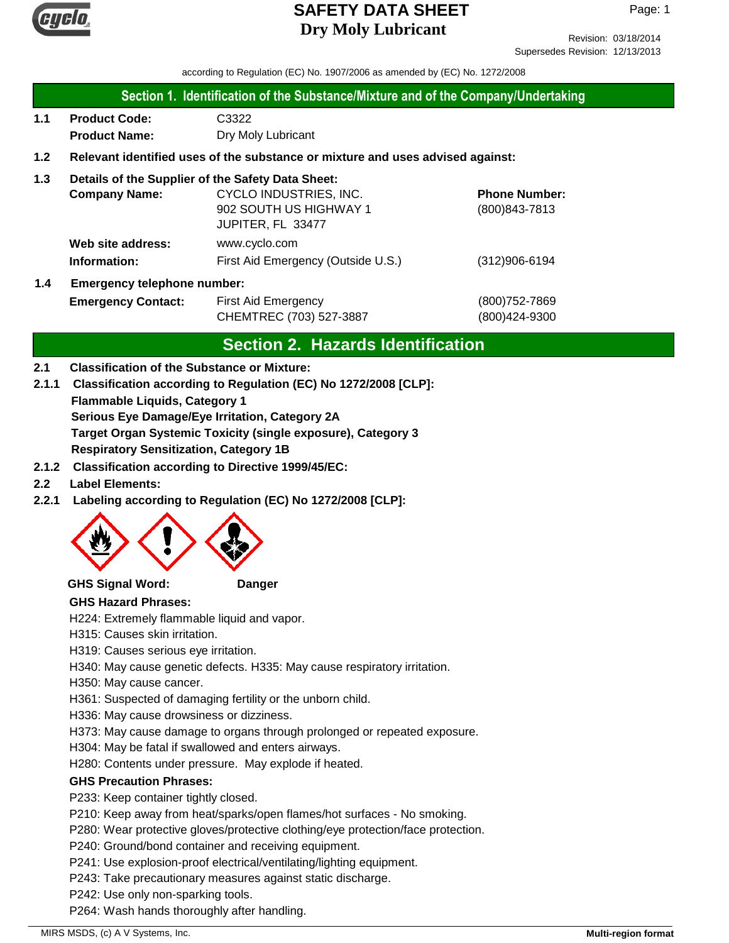

Revision: 03/18/2014 Supersedes Revision: 12/13/2013

according to Regulation (EC) No. 1907/2006 as amended by (EC) No. 1272/2008

#### **Section 1. Identification of the Substance/Mixture and of the Company/Undertaking**

**1.1 Product Code:** C3322 **Product Name:** Dry Moly Lubricant

#### **1.2 Relevant identified uses of the substance or mixture and uses advised against:**

#### **1.3 Details of the Supplier of the Safety Data Sheet:**

|     | <b>Company Name:</b>               | CYCLO INDUSTRIES, INC.             | <b>Phone Number:</b> |
|-----|------------------------------------|------------------------------------|----------------------|
|     |                                    | 902 SOUTH US HIGHWAY 1             | $(800)843 - 7813$    |
|     |                                    | JUPITER, FL 33477                  |                      |
|     | Web site address:                  | www.cyclo.com                      |                      |
|     | Information:                       | First Aid Emergency (Outside U.S.) | $(312)906 - 6194$    |
| 1.4 | <b>Emergency telephone number:</b> |                                    |                      |

| . |                           |                         |               |
|---|---------------------------|-------------------------|---------------|
|   | <b>Emergency Contact:</b> | First Aid Emergency     |               |
|   |                           | CHEMTREC (703) 527-3887 | (800)424-9300 |

## **Section 2. Hazards Identification**

#### **2.1 Classification of the Substance or Mixture:**

**Flammable Liquids, Category 1 Serious Eye Damage/Eye Irritation, Category 2A Target Organ Systemic Toxicity (single exposure), Category 3 2.1.1 Classification according to Regulation (EC) No 1272/2008 [CLP]:**

**Respiratory Sensitization, Category 1B**

- **2.1.2 Classification according to Directive 1999/45/EC:**
- **2.2 Label Elements:**
- **2.2.1 Labeling according to Regulation (EC) No 1272/2008 [CLP]:**



#### **GHS Signal Word: Danger**

#### **GHS Hazard Phrases:**

H224: Extremely flammable liquid and vapor.

H315: Causes skin irritation.

H319: Causes serious eye irritation.

H340: May cause genetic defects. H335: May cause respiratory irritation.

H350: May cause cancer.

H361: Suspected of damaging fertility or the unborn child.

H336: May cause drowsiness or dizziness.

H373: May cause damage to organs through prolonged or repeated exposure.

H304: May be fatal if swallowed and enters airways.

H280: Contents under pressure. May explode if heated.

#### **GHS Precaution Phrases:**

P233: Keep container tightly closed.

P210: Keep away from heat/sparks/open flames/hot surfaces - No smoking.

P280: Wear protective gloves/protective clothing/eye protection/face protection.

P240: Ground/bond container and receiving equipment.

P241: Use explosion-proof electrical/ventilating/lighting equipment.

P243: Take precautionary measures against static discharge.

P242: Use only non-sparking tools.

P264: Wash hands thoroughly after handling.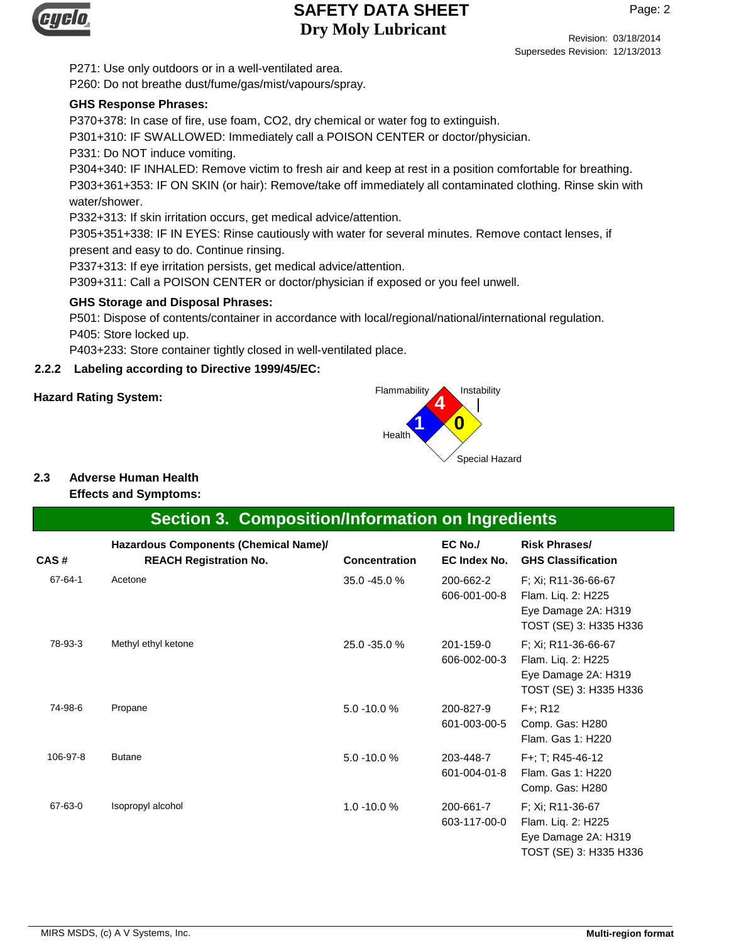

Page: 2

Revision: 03/18/2014 Supersedes Revision: 12/13/2013

P271: Use only outdoors or in a well-ventilated area. P260: Do not breathe dust/fume/gas/mist/vapours/spray.

#### **GHS Response Phrases:**

P370+378: In case of fire, use foam, CO2, dry chemical or water fog to extinguish.

P301+310: IF SWALLOWED: Immediately call a POISON CENTER or doctor/physician.

P331: Do NOT induce vomiting.

P304+340: IF INHALED: Remove victim to fresh air and keep at rest in a position comfortable for breathing. P303+361+353: IF ON SKIN (or hair): Remove/take off immediately all contaminated clothing. Rinse skin with water/shower.

P332+313: If skin irritation occurs, get medical advice/attention.

P305+351+338: IF IN EYES: Rinse cautiously with water for several minutes. Remove contact lenses, if present and easy to do. Continue rinsing.

P337+313: If eye irritation persists, get medical advice/attention.

P309+311: Call a POISON CENTER or doctor/physician if exposed or you feel unwell.

#### **GHS Storage and Disposal Phrases:**

P501: Dispose of contents/container in accordance with local/regional/national/international regulation. P405: Store locked up.

P403+233: Store container tightly closed in well-ventilated place.

#### **2.2.2 Labeling according to Directive 1999/45/EC:**



## **2.3 Adverse Human Health**

#### **Effects and Symptoms:**

## **Section 3. Composition/Information on Ingredients**

| CAS#     | Hazardous Components (Chemical Name)/<br><b>REACH Registration No.</b> | <b>Concentration</b> | EC No./<br>EC Index No.   | <b>Risk Phrases/</b><br><b>GHS Classification</b>                                          |
|----------|------------------------------------------------------------------------|----------------------|---------------------------|--------------------------------------------------------------------------------------------|
| 67-64-1  | Acetone                                                                | 35.0 -45.0 %         | 200-662-2<br>606-001-00-8 | F; Xi; R11-36-66-67<br>Flam. Liq. 2: H225<br>Eye Damage 2A: H319<br>TOST (SE) 3: H335 H336 |
| 78-93-3  | Methyl ethyl ketone                                                    | 25.0 - 35.0 %        | 201-159-0<br>606-002-00-3 | F; Xi; R11-36-66-67<br>Flam. Liq. 2: H225<br>Eye Damage 2A: H319<br>TOST (SE) 3: H335 H336 |
| 74-98-6  | Propane                                                                | $5.0 - 10.0 %$       | 200-827-9<br>601-003-00-5 | F+; R12<br>Comp. Gas: H280<br>Flam, Gas 1: H220                                            |
| 106-97-8 | <b>Butane</b>                                                          | $5.0 - 10.0 %$       | 203-448-7<br>601-004-01-8 | F+; T; R45-46-12<br>Flam, Gas 1: H220<br>Comp. Gas: H280                                   |
| 67-63-0  | Isopropyl alcohol                                                      | $1.0 - 10.0 %$       | 200-661-7<br>603-117-00-0 | F; Xi; R11-36-67<br>Flam. Liq. 2: H225<br>Eye Damage 2A: H319<br>TOST (SE) 3: H335 H336    |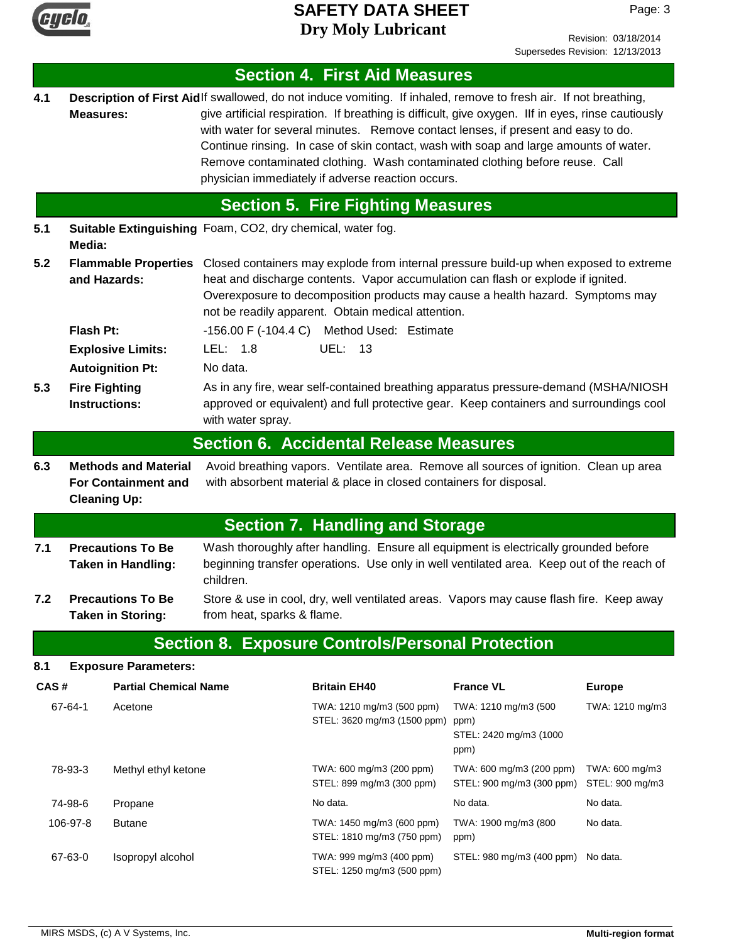

Page: 3

|                                                                                                                                                                                                                                                                                                                                                                         |                                                                                                                                                                                                                                                 |                                                            |                                                                                                                       |                                                                                                                                                                                                                                                                                                                                                                                                                                                                                                                                          |                                                                | Supersedes Revision: 12/13/2013   |  |
|-------------------------------------------------------------------------------------------------------------------------------------------------------------------------------------------------------------------------------------------------------------------------------------------------------------------------------------------------------------------------|-------------------------------------------------------------------------------------------------------------------------------------------------------------------------------------------------------------------------------------------------|------------------------------------------------------------|-----------------------------------------------------------------------------------------------------------------------|------------------------------------------------------------------------------------------------------------------------------------------------------------------------------------------------------------------------------------------------------------------------------------------------------------------------------------------------------------------------------------------------------------------------------------------------------------------------------------------------------------------------------------------|----------------------------------------------------------------|-----------------------------------|--|
|                                                                                                                                                                                                                                                                                                                                                                         |                                                                                                                                                                                                                                                 |                                                            |                                                                                                                       | <b>Section 4. First Aid Measures</b>                                                                                                                                                                                                                                                                                                                                                                                                                                                                                                     |                                                                |                                   |  |
| 4.1                                                                                                                                                                                                                                                                                                                                                                     | <b>Measures:</b>                                                                                                                                                                                                                                |                                                            |                                                                                                                       | Description of First Aidlf swallowed, do not induce vomiting. If inhaled, remove to fresh air. If not breathing,<br>give artificial respiration. If breathing is difficult, give oxygen. Ilf in eyes, rinse cautiously<br>with water for several minutes. Remove contact lenses, if present and easy to do.<br>Continue rinsing. In case of skin contact, wash with soap and large amounts of water.<br>Remove contaminated clothing. Wash contaminated clothing before reuse. Call<br>physician immediately if adverse reaction occurs. |                                                                |                                   |  |
|                                                                                                                                                                                                                                                                                                                                                                         |                                                                                                                                                                                                                                                 |                                                            |                                                                                                                       | <b>Section 5. Fire Fighting Measures</b>                                                                                                                                                                                                                                                                                                                                                                                                                                                                                                 |                                                                |                                   |  |
| 5.1                                                                                                                                                                                                                                                                                                                                                                     | Media:                                                                                                                                                                                                                                          | Suitable Extinguishing Foam, CO2, dry chemical, water fog. |                                                                                                                       |                                                                                                                                                                                                                                                                                                                                                                                                                                                                                                                                          |                                                                |                                   |  |
| 5.2<br><b>Flammable Properties</b><br>Closed containers may explode from internal pressure build-up when exposed to extreme<br>and Hazards:<br>heat and discharge contents. Vapor accumulation can flash or explode if ignited.<br>Overexposure to decomposition products may cause a health hazard. Symptoms may<br>not be readily apparent. Obtain medical attention. |                                                                                                                                                                                                                                                 |                                                            |                                                                                                                       |                                                                                                                                                                                                                                                                                                                                                                                                                                                                                                                                          |                                                                |                                   |  |
|                                                                                                                                                                                                                                                                                                                                                                         | Flash Pt:                                                                                                                                                                                                                                       |                                                            |                                                                                                                       | -156.00 F (-104.4 C) Method Used: Estimate                                                                                                                                                                                                                                                                                                                                                                                                                                                                                               |                                                                |                                   |  |
|                                                                                                                                                                                                                                                                                                                                                                         |                                                                                                                                                                                                                                                 | <b>Explosive Limits:</b>                                   | LEL: $1.8$                                                                                                            | <b>UEL: 13</b>                                                                                                                                                                                                                                                                                                                                                                                                                                                                                                                           |                                                                |                                   |  |
|                                                                                                                                                                                                                                                                                                                                                                         |                                                                                                                                                                                                                                                 | <b>Autoignition Pt:</b>                                    | No data.                                                                                                              |                                                                                                                                                                                                                                                                                                                                                                                                                                                                                                                                          |                                                                |                                   |  |
| 5.3                                                                                                                                                                                                                                                                                                                                                                     | <b>Fire Fighting</b><br><b>Instructions:</b>                                                                                                                                                                                                    |                                                            | with water spray.                                                                                                     | As in any fire, wear self-contained breathing apparatus pressure-demand (MSHA/NIOSH<br>approved or equivalent) and full protective gear. Keep containers and surroundings cool                                                                                                                                                                                                                                                                                                                                                           |                                                                |                                   |  |
|                                                                                                                                                                                                                                                                                                                                                                         |                                                                                                                                                                                                                                                 |                                                            |                                                                                                                       | <b>Section 6. Accidental Release Measures</b>                                                                                                                                                                                                                                                                                                                                                                                                                                                                                            |                                                                |                                   |  |
| 6.3                                                                                                                                                                                                                                                                                                                                                                     | Avoid breathing vapors. Ventilate area. Remove all sources of ignition. Clean up area<br><b>Methods and Material</b><br><b>For Containment and</b><br>with absorbent material & place in closed containers for disposal.<br><b>Cleaning Up:</b> |                                                            |                                                                                                                       |                                                                                                                                                                                                                                                                                                                                                                                                                                                                                                                                          |                                                                |                                   |  |
|                                                                                                                                                                                                                                                                                                                                                                         |                                                                                                                                                                                                                                                 |                                                            |                                                                                                                       | <b>Section 7. Handling and Storage</b>                                                                                                                                                                                                                                                                                                                                                                                                                                                                                                   |                                                                |                                   |  |
| 7.1                                                                                                                                                                                                                                                                                                                                                                     | <b>Precautions To Be</b><br><b>Taken in Handling:</b><br>children.                                                                                                                                                                              |                                                            |                                                                                                                       | Wash thoroughly after handling. Ensure all equipment is electrically grounded before<br>beginning transfer operations. Use only in well ventilated area. Keep out of the reach of                                                                                                                                                                                                                                                                                                                                                        |                                                                |                                   |  |
| 7.2                                                                                                                                                                                                                                                                                                                                                                     |                                                                                                                                                                                                                                                 | <b>Precautions To Be</b><br><b>Taken in Storing:</b>       | Store & use in cool, dry, well ventilated areas. Vapors may cause flash fire. Keep away<br>from heat, sparks & flame. |                                                                                                                                                                                                                                                                                                                                                                                                                                                                                                                                          |                                                                |                                   |  |
|                                                                                                                                                                                                                                                                                                                                                                         |                                                                                                                                                                                                                                                 |                                                            |                                                                                                                       | <b>Section 8. Exposure Controls/Personal Protection</b>                                                                                                                                                                                                                                                                                                                                                                                                                                                                                  |                                                                |                                   |  |
| 8.1                                                                                                                                                                                                                                                                                                                                                                     |                                                                                                                                                                                                                                                 | <b>Exposure Parameters:</b>                                |                                                                                                                       |                                                                                                                                                                                                                                                                                                                                                                                                                                                                                                                                          |                                                                |                                   |  |
| CAS#                                                                                                                                                                                                                                                                                                                                                                    |                                                                                                                                                                                                                                                 | <b>Partial Chemical Name</b>                               |                                                                                                                       | <b>Britain EH40</b>                                                                                                                                                                                                                                                                                                                                                                                                                                                                                                                      | <b>France VL</b>                                               | <b>Europe</b>                     |  |
|                                                                                                                                                                                                                                                                                                                                                                         | 67-64-1                                                                                                                                                                                                                                         | Acetone                                                    |                                                                                                                       | TWA: 1210 mg/m3 (500 ppm)<br>STEL: 3620 mg/m3 (1500 ppm)                                                                                                                                                                                                                                                                                                                                                                                                                                                                                 | TWA: 1210 mg/m3 (500<br>ppm)<br>STEL: 2420 mg/m3 (1000<br>ppm) | TWA: 1210 mg/m3                   |  |
|                                                                                                                                                                                                                                                                                                                                                                         | 78-93-3                                                                                                                                                                                                                                         | Methyl ethyl ketone                                        |                                                                                                                       | TWA: 600 mg/m3 (200 ppm)<br>STEL: 899 mg/m3 (300 ppm)                                                                                                                                                                                                                                                                                                                                                                                                                                                                                    | TWA: 600 mg/m3 (200 ppm)<br>STEL: 900 mg/m3 (300 ppm)          | TWA: 600 mg/m3<br>STEL: 900 mg/m3 |  |
|                                                                                                                                                                                                                                                                                                                                                                         | 74-98-6                                                                                                                                                                                                                                         | Propane                                                    |                                                                                                                       | No data.                                                                                                                                                                                                                                                                                                                                                                                                                                                                                                                                 | No data.                                                       | No data.                          |  |
|                                                                                                                                                                                                                                                                                                                                                                         | 106-97-8                                                                                                                                                                                                                                        | <b>Butane</b>                                              |                                                                                                                       | TWA: 1450 mg/m3 (600 ppm)<br>STEL: 1810 mg/m3 (750 ppm)                                                                                                                                                                                                                                                                                                                                                                                                                                                                                  | TWA: 1900 mg/m3 (800<br>ppm)                                   | No data.                          |  |
|                                                                                                                                                                                                                                                                                                                                                                         | 67-63-0                                                                                                                                                                                                                                         | Isopropyl alcohol                                          |                                                                                                                       | TWA: 999 mg/m3 (400 ppm)<br>STEL: 1250 mg/m3 (500 ppm)                                                                                                                                                                                                                                                                                                                                                                                                                                                                                   | STEL: 980 mg/m3 (400 ppm) No data.                             |                                   |  |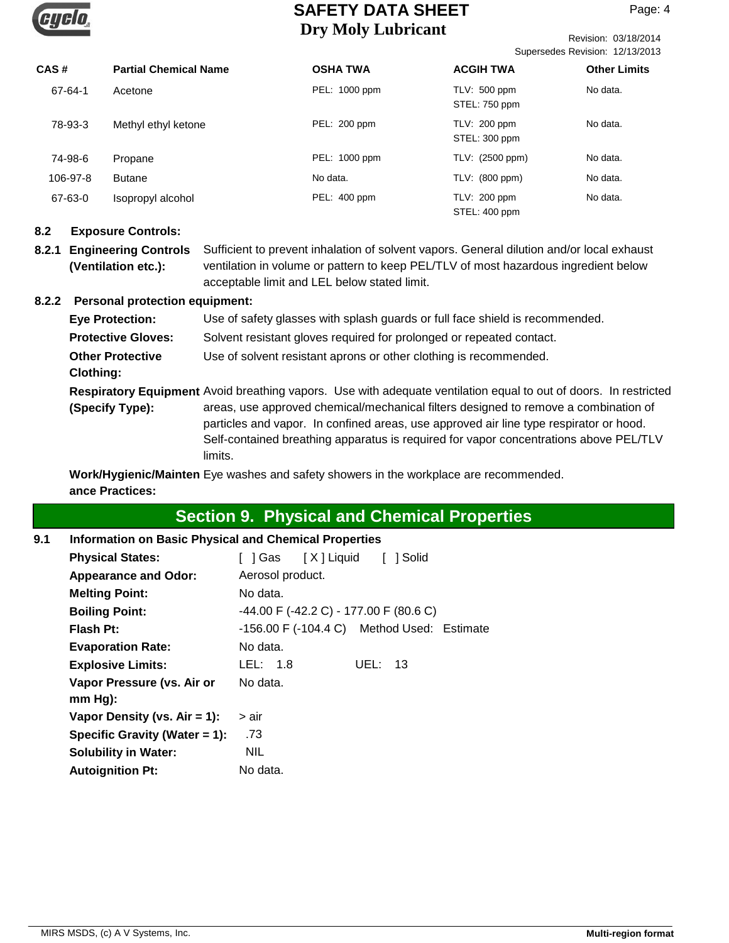

Revision: 03/18/2014 Supersedes Revision: 12/13/2013

| CAS#     | <b>Partial Chemical Name</b> | <b>OSHA TWA</b> | <b>ACGIH TWA</b>                | <b>Other Limits</b> |
|----------|------------------------------|-----------------|---------------------------------|---------------------|
| 67-64-1  | Acetone                      | PEL: 1000 ppm   | TLV: 500 ppm<br>STEL: 750 ppm   | No data.            |
| 78-93-3  | Methyl ethyl ketone          | PEL: 200 ppm    | $TLV: 200$ ppm<br>STEL: 300 ppm | No data.            |
| 74-98-6  | Propane                      | PEL: 1000 ppm   | TLV: (2500 ppm)                 | No data.            |
| 106-97-8 | <b>Butane</b>                | No data.        | TLV: (800 ppm)                  | No data.            |
| 67-63-0  | Isopropyl alcohol            | PEL: 400 ppm    | $TLV: 200$ ppm<br>STEL: 400 ppm | No data.            |

#### **8.2 Exposure Controls:**

**8.2.1 Engineering Controls** Sufficient to prevent inhalation of solvent vapors. General dilution and/or local exhaust ventilation in volume or pattern to keep PEL/TLV of most hazardous ingredient below acceptable limit and LEL below stated limit. **(Ventilation etc.):**

#### **8.2.2 Personal protection equipment:**

Respiratory Equipment Avoid breathing vapors. Use with adequate ventilation equal to out of doors. In restricted areas, use approved chemical/mechanical filters designed to remove a combination of particles and vapor. In confined areas, use approved air line type respirator or hood. Self-contained breathing apparatus is required for vapor concentrations above PEL/TLV limits. **(Specify Type): Eye Protection:** Use of safety glasses with splash guards or full face shield is recommended. **Protective Gloves:** Solvent resistant gloves required for prolonged or repeated contact. **Other Protective** Use of solvent resistant aprons or other clothing is recommended. **Clothing:**

**Work/Hygienic/Mainten** Eye washes and safety showers in the workplace are recommended. **ance Practices:**

## **Section 9. Physical and Chemical Properties**

**9.1 Information on Basic Physical and Chemical Properties**

| <b>Physical States:</b>          | 1 Solid<br>] Gas [X] Liquid                            |
|----------------------------------|--------------------------------------------------------|
| <b>Appearance and Odor:</b>      | Aerosol product.                                       |
| <b>Melting Point:</b>            | No data.                                               |
| <b>Boiling Point:</b>            | $-44.00$ F ( $-42.2$ C) - 177.00 F (80.6 C)            |
| Flash Pt:                        | $-156.00$ F $(-104.4 \text{ C})$ Method Used: Estimate |
| <b>Evaporation Rate:</b>         | No data.                                               |
| <b>Explosive Limits:</b>         | LEL: 1.8<br>UEL: $13$                                  |
| Vapor Pressure (vs. Air or       | No data.                                               |
| $mm Hg$ :                        |                                                        |
| Vapor Density (vs. $Air = 1$ ):  | > air                                                  |
| Specific Gravity (Water $= 1$ ): | .73                                                    |
| <b>Solubility in Water:</b>      | <b>NIL</b>                                             |
| <b>Autoignition Pt:</b>          | No data.                                               |
|                                  |                                                        |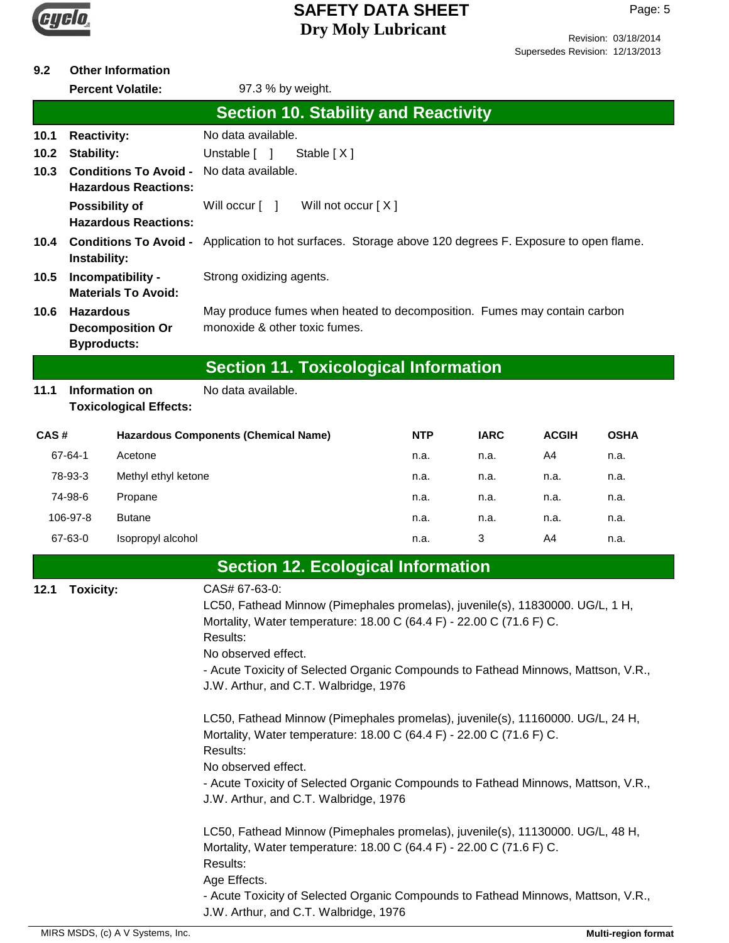

#### **9.2 Other Information**

|                      |                                                                           | <b>Percent Volatile:</b>                                    | 97.3 % by weight.                                                                                                                                                                                                                                                                                                                       |      |             |              |             |
|----------------------|---------------------------------------------------------------------------|-------------------------------------------------------------|-----------------------------------------------------------------------------------------------------------------------------------------------------------------------------------------------------------------------------------------------------------------------------------------------------------------------------------------|------|-------------|--------------|-------------|
|                      |                                                                           |                                                             | <b>Section 10. Stability and Reactivity</b>                                                                                                                                                                                                                                                                                             |      |             |              |             |
| 10.1<br>10.2<br>10.3 | <b>Reactivity:</b><br>Stability:                                          | <b>Conditions To Avoid -</b><br><b>Hazardous Reactions:</b> | No data available.<br>Unstable [ ]<br>Stable [X]<br>No data available.                                                                                                                                                                                                                                                                  |      |             |              |             |
|                      |                                                                           | <b>Possibility of</b><br><b>Hazardous Reactions:</b>        | Will occur $\lceil \quad \rceil$<br>Will not occur [X]                                                                                                                                                                                                                                                                                  |      |             |              |             |
| 10.5                 | <b>Conditions To Avoid -</b><br>10.4<br>Instability:<br>Incompatibility - |                                                             | Application to hot surfaces. Storage above 120 degrees F. Exposure to open flame.<br>Strong oxidizing agents.                                                                                                                                                                                                                           |      |             |              |             |
| 10.6                 | <b>Hazardous</b><br><b>Byproducts:</b>                                    | <b>Materials To Avoid:</b><br><b>Decomposition Or</b>       | May produce fumes when heated to decomposition. Fumes may contain carbon<br>monoxide & other toxic fumes.                                                                                                                                                                                                                               |      |             |              |             |
|                      |                                                                           |                                                             | <b>Section 11. Toxicological Information</b>                                                                                                                                                                                                                                                                                            |      |             |              |             |
| 11.1                 |                                                                           | Information on<br><b>Toxicological Effects:</b>             | No data available.                                                                                                                                                                                                                                                                                                                      |      |             |              |             |
| CAS#                 |                                                                           |                                                             | <b>Hazardous Components (Chemical Name)</b>                                                                                                                                                                                                                                                                                             | NTP  | <b>IARC</b> | <b>ACGIH</b> | <b>OSHA</b> |
|                      | 67-64-1                                                                   | Acetone                                                     |                                                                                                                                                                                                                                                                                                                                         | n.a. | n.a.        | A4           | n.a.        |
|                      | 78-93-3                                                                   | Methyl ethyl ketone                                         |                                                                                                                                                                                                                                                                                                                                         | n.a. | n.a.        | n.a.         | n.a.        |
|                      | 74-98-6                                                                   | Propane                                                     |                                                                                                                                                                                                                                                                                                                                         | n.a. | n.a.        | n.a.         | n.a.        |
|                      | 106-97-8                                                                  | <b>Butane</b>                                               |                                                                                                                                                                                                                                                                                                                                         | n.a. | n.a.        | n.a.         | n.a.        |
|                      | 67-63-0                                                                   | Isopropyl alcohol                                           |                                                                                                                                                                                                                                                                                                                                         | n.a. | 3           | A4           | n.a.        |
|                      |                                                                           |                                                             | <b>Section 12. Ecological Information</b>                                                                                                                                                                                                                                                                                               |      |             |              |             |
| 12.1                 | <b>Toxicity:</b>                                                          |                                                             | CAS# 67-63-0:<br>LC50, Fathead Minnow (Pimephales promelas), juvenile(s), 11830000. UG/L, 1 H,<br>Mortality, Water temperature: 18.00 C (64.4 F) - 22.00 C (71.6 F) C.<br>Results:<br>No observed effect.<br>- Acute Toxicity of Selected Organic Compounds to Fathead Minnows, Mattson, V.R.,<br>J.W. Arthur, and C.T. Walbridge, 1976 |      |             |              |             |
|                      |                                                                           |                                                             | LC50, Fathead Minnow (Pimephales promelas), juvenile(s), 11160000. UG/L, 24 H,<br>Mortality, Water temperature: 18.00 C (64.4 F) - 22.00 C (71.6 F) C.<br>Results:<br>No observed effect.<br>- Acute Toxicity of Selected Organic Compounds to Fathead Minnows, Mattson, V.R.,<br>J.W. Arthur, and C.T. Walbridge, 1976                 |      |             |              |             |
|                      |                                                                           |                                                             | LC50, Fathead Minnow (Pimephales promelas), juvenile(s), 11130000. UG/L, 48 H,<br>Mortality, Water temperature: 18.00 C (64.4 F) - 22.00 C (71.6 F) C.<br>Results:<br>Age Effects.                                                                                                                                                      |      |             |              |             |

- Acute Toxicity of Selected Organic Compounds to Fathead Minnows, Mattson, V.R., J.W. Arthur, and C.T. Walbridge, 1976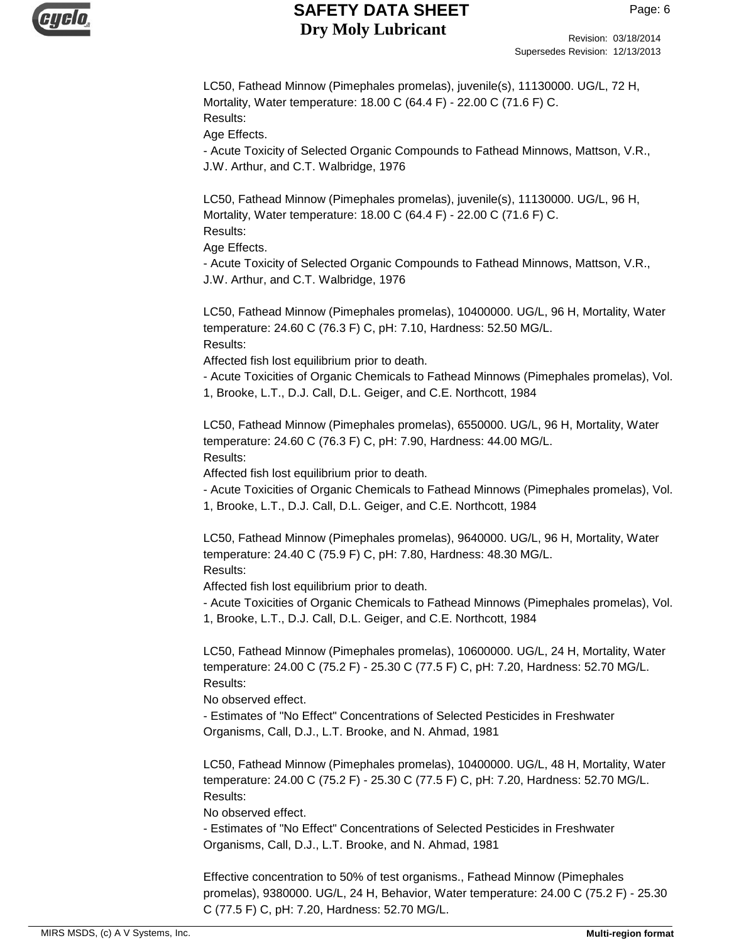

LC50, Fathead Minnow (Pimephales promelas), juvenile(s), 11130000. UG/L, 72 H, Mortality, Water temperature: 18.00 C (64.4 F) - 22.00 C (71.6 F) C. Results: Age Effects.

- Acute Toxicity of Selected Organic Compounds to Fathead Minnows, Mattson, V.R., J.W. Arthur, and C.T. Walbridge, 1976

LC50, Fathead Minnow (Pimephales promelas), juvenile(s), 11130000. UG/L, 96 H, Mortality, Water temperature: 18.00 C (64.4 F) - 22.00 C (71.6 F) C. Results:

Age Effects.

- Acute Toxicity of Selected Organic Compounds to Fathead Minnows, Mattson, V.R., J.W. Arthur, and C.T. Walbridge, 1976

LC50, Fathead Minnow (Pimephales promelas), 10400000. UG/L, 96 H, Mortality, Water temperature: 24.60 C (76.3 F) C, pH: 7.10, Hardness: 52.50 MG/L. Results:

Affected fish lost equilibrium prior to death.

- Acute Toxicities of Organic Chemicals to Fathead Minnows (Pimephales promelas), Vol. 1, Brooke, L.T., D.J. Call, D.L. Geiger, and C.E. Northcott, 1984

LC50, Fathead Minnow (Pimephales promelas), 6550000. UG/L, 96 H, Mortality, Water temperature: 24.60 C (76.3 F) C, pH: 7.90, Hardness: 44.00 MG/L. Results:

Affected fish lost equilibrium prior to death.

- Acute Toxicities of Organic Chemicals to Fathead Minnows (Pimephales promelas), Vol. 1, Brooke, L.T., D.J. Call, D.L. Geiger, and C.E. Northcott, 1984

LC50, Fathead Minnow (Pimephales promelas), 9640000. UG/L, 96 H, Mortality, Water temperature: 24.40 C (75.9 F) C, pH: 7.80, Hardness: 48.30 MG/L. Results:

Affected fish lost equilibrium prior to death.

- Acute Toxicities of Organic Chemicals to Fathead Minnows (Pimephales promelas), Vol. 1, Brooke, L.T., D.J. Call, D.L. Geiger, and C.E. Northcott, 1984

LC50, Fathead Minnow (Pimephales promelas), 10600000. UG/L, 24 H, Mortality, Water temperature: 24.00 C (75.2 F) - 25.30 C (77.5 F) C, pH: 7.20, Hardness: 52.70 MG/L. Results:

No observed effect.

- Estimates of "No Effect" Concentrations of Selected Pesticides in Freshwater Organisms, Call, D.J., L.T. Brooke, and N. Ahmad, 1981

LC50, Fathead Minnow (Pimephales promelas), 10400000. UG/L, 48 H, Mortality, Water temperature: 24.00 C (75.2 F) - 25.30 C (77.5 F) C, pH: 7.20, Hardness: 52.70 MG/L. Results:

No observed effect.

- Estimates of "No Effect" Concentrations of Selected Pesticides in Freshwater Organisms, Call, D.J., L.T. Brooke, and N. Ahmad, 1981

Effective concentration to 50% of test organisms., Fathead Minnow (Pimephales promelas), 9380000. UG/L, 24 H, Behavior, Water temperature: 24.00 C (75.2 F) - 25.30 C (77.5 F) C, pH: 7.20, Hardness: 52.70 MG/L.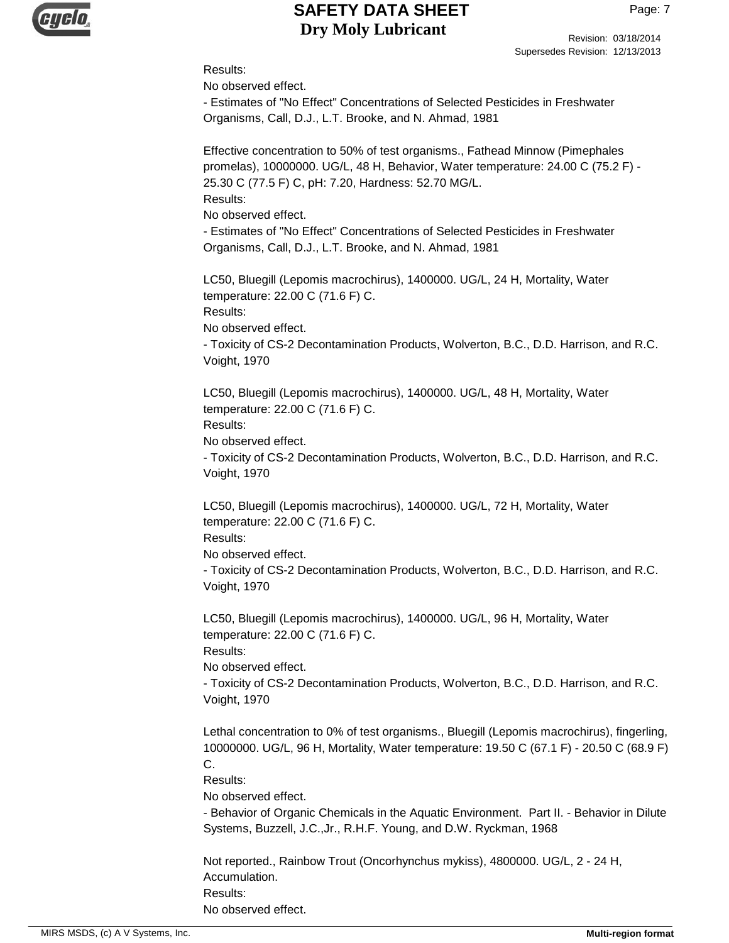

#### Results:

No observed effect.

- Estimates of "No Effect" Concentrations of Selected Pesticides in Freshwater Organisms, Call, D.J., L.T. Brooke, and N. Ahmad, 1981

Effective concentration to 50% of test organisms., Fathead Minnow (Pimephales promelas), 10000000. UG/L, 48 H, Behavior, Water temperature: 24.00 C (75.2 F) - 25.30 C (77.5 F) C, pH: 7.20, Hardness: 52.70 MG/L. Results:

No observed effect.

- Estimates of "No Effect" Concentrations of Selected Pesticides in Freshwater Organisms, Call, D.J., L.T. Brooke, and N. Ahmad, 1981

LC50, Bluegill (Lepomis macrochirus), 1400000. UG/L, 24 H, Mortality, Water temperature: 22.00 C (71.6 F) C. Results: No observed effect. - Toxicity of CS-2 Decontamination Products, Wolverton, B.C., D.D. Harrison, and R.C.

Voight, 1970

LC50, Bluegill (Lepomis macrochirus), 1400000. UG/L, 48 H, Mortality, Water temperature: 22.00 C (71.6 F) C.

Results:

No observed effect.

- Toxicity of CS-2 Decontamination Products, Wolverton, B.C., D.D. Harrison, and R.C. Voight, 1970

LC50, Bluegill (Lepomis macrochirus), 1400000. UG/L, 72 H, Mortality, Water temperature: 22.00 C (71.6 F) C.

Results:

No observed effect.

- Toxicity of CS-2 Decontamination Products, Wolverton, B.C., D.D. Harrison, and R.C. Voight, 1970

LC50, Bluegill (Lepomis macrochirus), 1400000. UG/L, 96 H, Mortality, Water temperature: 22.00 C (71.6 F) C.

Results:

No observed effect.

- Toxicity of CS-2 Decontamination Products, Wolverton, B.C., D.D. Harrison, and R.C. Voight, 1970

Lethal concentration to 0% of test organisms., Bluegill (Lepomis macrochirus), fingerling, 10000000. UG/L, 96 H, Mortality, Water temperature: 19.50 C (67.1 F) - 20.50 C (68.9 F) C.

Results:

No observed effect.

- Behavior of Organic Chemicals in the Aquatic Environment. Part II. - Behavior in Dilute Systems, Buzzell, J.C.,Jr., R.H.F. Young, and D.W. Ryckman, 1968

Not reported., Rainbow Trout (Oncorhynchus mykiss), 4800000. UG/L, 2 - 24 H, Accumulation. Results: No observed effect.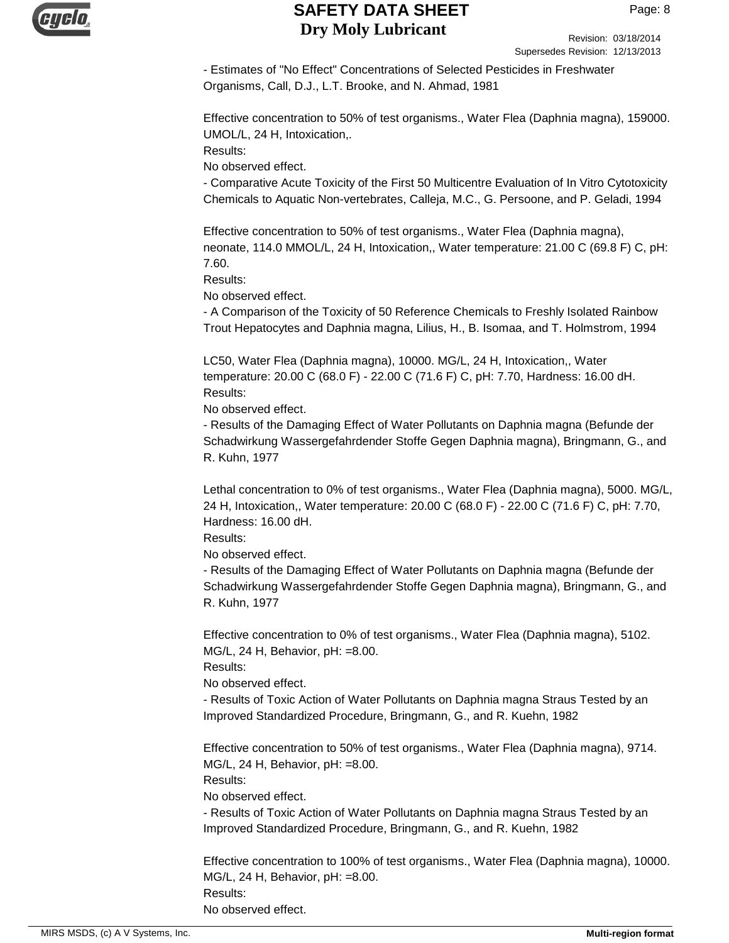

Revision: 03/18/2014 Supersedes Revision: 12/13/2013

- Estimates of "No Effect" Concentrations of Selected Pesticides in Freshwater Organisms, Call, D.J., L.T. Brooke, and N. Ahmad, 1981

Effective concentration to 50% of test organisms., Water Flea (Daphnia magna), 159000. UMOL/L, 24 H, Intoxication,.

Results:

No observed effect.

- Comparative Acute Toxicity of the First 50 Multicentre Evaluation of In Vitro Cytotoxicity Chemicals to Aquatic Non-vertebrates, Calleja, M.C., G. Persoone, and P. Geladi, 1994

Effective concentration to 50% of test organisms., Water Flea (Daphnia magna), neonate, 114.0 MMOL/L, 24 H, Intoxication,, Water temperature: 21.00 C (69.8 F) C, pH: 7.60.

Results:

No observed effect.

- A Comparison of the Toxicity of 50 Reference Chemicals to Freshly Isolated Rainbow Trout Hepatocytes and Daphnia magna, Lilius, H., B. Isomaa, and T. Holmstrom, 1994

LC50, Water Flea (Daphnia magna), 10000. MG/L, 24 H, Intoxication,, Water temperature: 20.00 C (68.0 F) - 22.00 C (71.6 F) C, pH: 7.70, Hardness: 16.00 dH. Results:

No observed effect.

- Results of the Damaging Effect of Water Pollutants on Daphnia magna (Befunde der Schadwirkung Wassergefahrdender Stoffe Gegen Daphnia magna), Bringmann, G., and R. Kuhn, 1977

Lethal concentration to 0% of test organisms., Water Flea (Daphnia magna), 5000. MG/L, 24 H, Intoxication,, Water temperature: 20.00 C (68.0 F) - 22.00 C (71.6 F) C, pH: 7.70, Hardness: 16.00 dH.

Results:

No observed effect.

- Results of the Damaging Effect of Water Pollutants on Daphnia magna (Befunde der Schadwirkung Wassergefahrdender Stoffe Gegen Daphnia magna), Bringmann, G., and R. Kuhn, 1977

Effective concentration to 0% of test organisms., Water Flea (Daphnia magna), 5102. MG/L, 24 H, Behavior, pH: =8.00.

Results:

No observed effect.

- Results of Toxic Action of Water Pollutants on Daphnia magna Straus Tested by an Improved Standardized Procedure, Bringmann, G., and R. Kuehn, 1982

Effective concentration to 50% of test organisms., Water Flea (Daphnia magna), 9714. MG/L, 24 H, Behavior, pH: =8.00.

Results:

No observed effect.

- Results of Toxic Action of Water Pollutants on Daphnia magna Straus Tested by an Improved Standardized Procedure, Bringmann, G., and R. Kuehn, 1982

Effective concentration to 100% of test organisms., Water Flea (Daphnia magna), 10000. MG/L, 24 H, Behavior, pH: =8.00. Results:

No observed effect.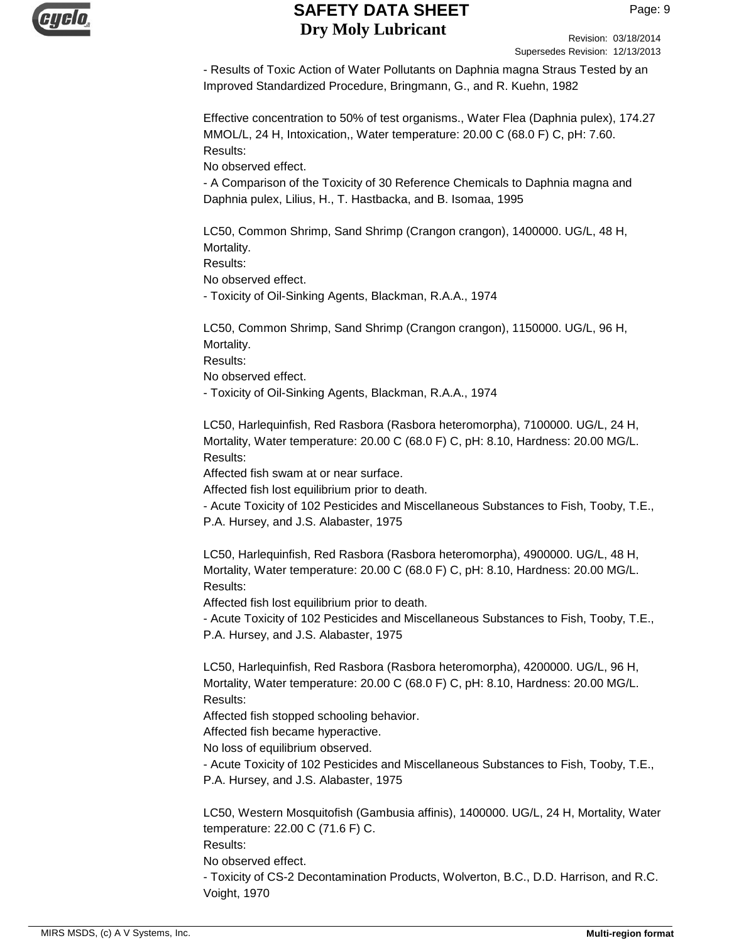

Revision: 03/18/2014 Supersedes Revision: 12/13/2013

- Results of Toxic Action of Water Pollutants on Daphnia magna Straus Tested by an Improved Standardized Procedure, Bringmann, G., and R. Kuehn, 1982

Effective concentration to 50% of test organisms., Water Flea (Daphnia pulex), 174.27 MMOL/L, 24 H, Intoxication,, Water temperature: 20.00 C (68.0 F) C, pH: 7.60. Results:

No observed effect.

- A Comparison of the Toxicity of 30 Reference Chemicals to Daphnia magna and Daphnia pulex, Lilius, H., T. Hastbacka, and B. Isomaa, 1995

LC50, Common Shrimp, Sand Shrimp (Crangon crangon), 1400000. UG/L, 48 H, Mortality.

Results:

No observed effect.

- Toxicity of Oil-Sinking Agents, Blackman, R.A.A., 1974

LC50, Common Shrimp, Sand Shrimp (Crangon crangon), 1150000. UG/L, 96 H, Mortality.

Results:

No observed effect.

- Toxicity of Oil-Sinking Agents, Blackman, R.A.A., 1974

LC50, Harlequinfish, Red Rasbora (Rasbora heteromorpha), 7100000. UG/L, 24 H, Mortality, Water temperature: 20.00 C (68.0 F) C, pH: 8.10, Hardness: 20.00 MG/L. Results:

Affected fish swam at or near surface.

Affected fish lost equilibrium prior to death.

- Acute Toxicity of 102 Pesticides and Miscellaneous Substances to Fish, Tooby, T.E., P.A. Hursey, and J.S. Alabaster, 1975

LC50, Harlequinfish, Red Rasbora (Rasbora heteromorpha), 4900000. UG/L, 48 H, Mortality, Water temperature: 20.00 C (68.0 F) C, pH: 8.10, Hardness: 20.00 MG/L. Results:

Affected fish lost equilibrium prior to death.

- Acute Toxicity of 102 Pesticides and Miscellaneous Substances to Fish, Tooby, T.E., P.A. Hursey, and J.S. Alabaster, 1975

LC50, Harlequinfish, Red Rasbora (Rasbora heteromorpha), 4200000. UG/L, 96 H, Mortality, Water temperature: 20.00 C (68.0 F) C, pH: 8.10, Hardness: 20.00 MG/L. Results:

Affected fish stopped schooling behavior.

Affected fish became hyperactive.

No loss of equilibrium observed.

- Acute Toxicity of 102 Pesticides and Miscellaneous Substances to Fish, Tooby, T.E., P.A. Hursey, and J.S. Alabaster, 1975

LC50, Western Mosquitofish (Gambusia affinis), 1400000. UG/L, 24 H, Mortality, Water temperature: 22.00 C (71.6 F) C.

Results:

No observed effect.

- Toxicity of CS-2 Decontamination Products, Wolverton, B.C., D.D. Harrison, and R.C. Voight, 1970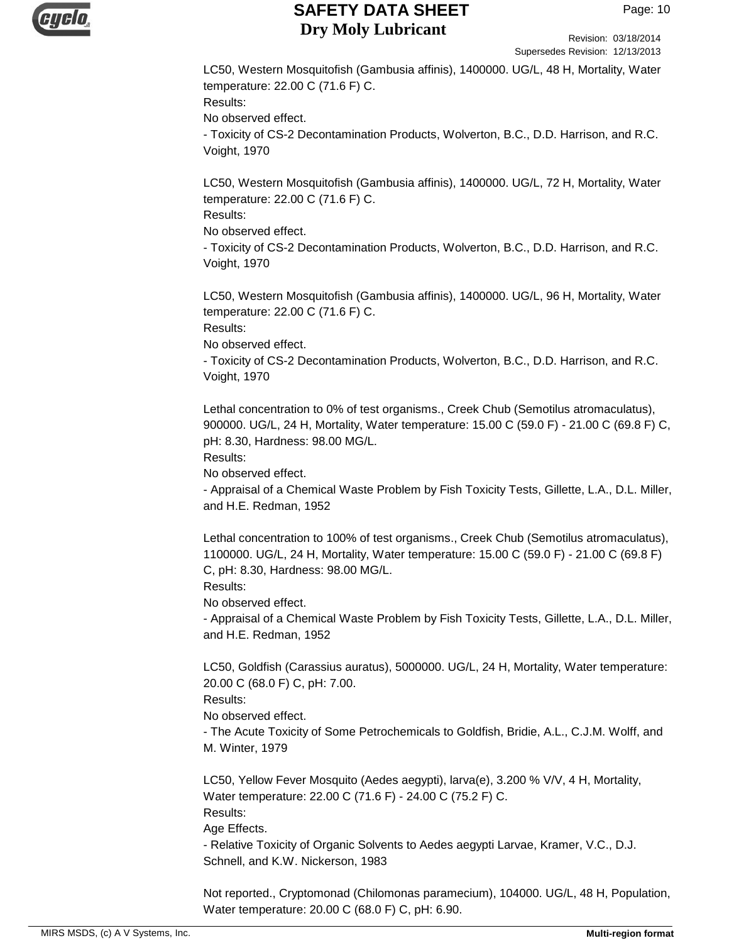

Revision: 03/18/2014 Supersedes Revision: 12/13/2013

LC50, Western Mosquitofish (Gambusia affinis), 1400000. UG/L, 48 H, Mortality, Water temperature: 22.00 C (71.6 F) C. Results: No observed effect. - Toxicity of CS-2 Decontamination Products, Wolverton, B.C., D.D. Harrison, and R.C. Voight, 1970

LC50, Western Mosquitofish (Gambusia affinis), 1400000. UG/L, 72 H, Mortality, Water temperature: 22.00 C (71.6 F) C. Results:

No observed effect.

- Toxicity of CS-2 Decontamination Products, Wolverton, B.C., D.D. Harrison, and R.C. Voight, 1970

LC50, Western Mosquitofish (Gambusia affinis), 1400000. UG/L, 96 H, Mortality, Water temperature: 22.00 C (71.6 F) C.

Results:

No observed effect.

- Toxicity of CS-2 Decontamination Products, Wolverton, B.C., D.D. Harrison, and R.C. Voight, 1970

Lethal concentration to 0% of test organisms., Creek Chub (Semotilus atromaculatus), 900000. UG/L, 24 H, Mortality, Water temperature: 15.00 C (59.0 F) - 21.00 C (69.8 F) C, pH: 8.30, Hardness: 98.00 MG/L.

Results:

No observed effect.

- Appraisal of a Chemical Waste Problem by Fish Toxicity Tests, Gillette, L.A., D.L. Miller, and H.E. Redman, 1952

Lethal concentration to 100% of test organisms., Creek Chub (Semotilus atromaculatus), 1100000. UG/L, 24 H, Mortality, Water temperature: 15.00 C (59.0 F) - 21.00 C (69.8 F) C, pH: 8.30, Hardness: 98.00 MG/L.

Results:

No observed effect.

- Appraisal of a Chemical Waste Problem by Fish Toxicity Tests, Gillette, L.A., D.L. Miller, and H.E. Redman, 1952

LC50, Goldfish (Carassius auratus), 5000000. UG/L, 24 H, Mortality, Water temperature: 20.00 C (68.0 F) C, pH: 7.00.

Results:

No observed effect.

- The Acute Toxicity of Some Petrochemicals to Goldfish, Bridie, A.L., C.J.M. Wolff, and M. Winter, 1979

LC50, Yellow Fever Mosquito (Aedes aegypti), larva(e), 3.200 % V/V, 4 H, Mortality, Water temperature: 22.00 C (71.6 F) - 24.00 C (75.2 F) C.

Results:

Age Effects.

- Relative Toxicity of Organic Solvents to Aedes aegypti Larvae, Kramer, V.C., D.J. Schnell, and K.W. Nickerson, 1983

Not reported., Cryptomonad (Chilomonas paramecium), 104000. UG/L, 48 H, Population, Water temperature: 20.00 C (68.0 F) C, pH: 6.90.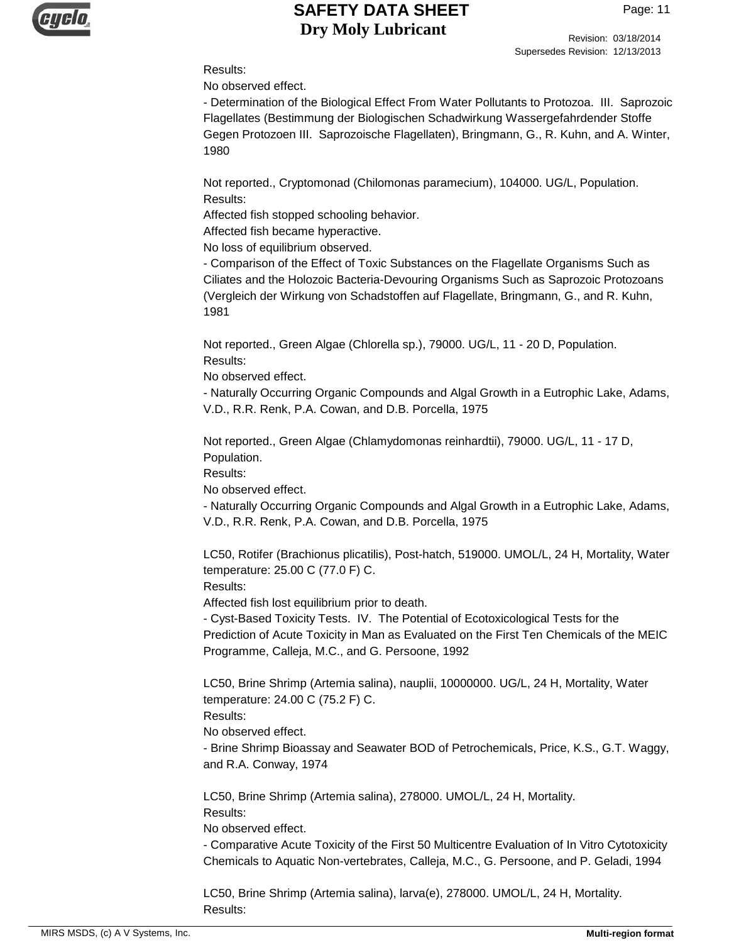

Revision: 03/18/2014 Supersedes Revision: 12/13/2013

#### Results:

No observed effect.

- Determination of the Biological Effect From Water Pollutants to Protozoa. III. Saprozoic Flagellates (Bestimmung der Biologischen Schadwirkung Wassergefahrdender Stoffe Gegen Protozoen III. Saprozoische Flagellaten), Bringmann, G., R. Kuhn, and A. Winter, 1980

Not reported., Cryptomonad (Chilomonas paramecium), 104000. UG/L, Population. Results:

Affected fish stopped schooling behavior.

Affected fish became hyperactive.

No loss of equilibrium observed.

- Comparison of the Effect of Toxic Substances on the Flagellate Organisms Such as Ciliates and the Holozoic Bacteria-Devouring Organisms Such as Saprozoic Protozoans (Vergleich der Wirkung von Schadstoffen auf Flagellate, Bringmann, G., and R. Kuhn, 1981

Not reported., Green Algae (Chlorella sp.), 79000. UG/L, 11 - 20 D, Population. Results:

No observed effect.

- Naturally Occurring Organic Compounds and Algal Growth in a Eutrophic Lake, Adams, V.D., R.R. Renk, P.A. Cowan, and D.B. Porcella, 1975

Not reported., Green Algae (Chlamydomonas reinhardtii), 79000. UG/L, 11 - 17 D, Population.

Results:

No observed effect.

- Naturally Occurring Organic Compounds and Algal Growth in a Eutrophic Lake, Adams, V.D., R.R. Renk, P.A. Cowan, and D.B. Porcella, 1975

LC50, Rotifer (Brachionus plicatilis), Post-hatch, 519000. UMOL/L, 24 H, Mortality, Water temperature: 25.00 C (77.0 F) C.

Results:

Affected fish lost equilibrium prior to death.

- Cyst-Based Toxicity Tests. IV. The Potential of Ecotoxicological Tests for the Prediction of Acute Toxicity in Man as Evaluated on the First Ten Chemicals of the MEIC Programme, Calleja, M.C., and G. Persoone, 1992

LC50, Brine Shrimp (Artemia salina), nauplii, 10000000. UG/L, 24 H, Mortality, Water temperature: 24.00 C (75.2 F) C.

Results:

No observed effect.

- Brine Shrimp Bioassay and Seawater BOD of Petrochemicals, Price, K.S., G.T. Waggy, and R.A. Conway, 1974

LC50, Brine Shrimp (Artemia salina), 278000. UMOL/L, 24 H, Mortality.

Results:

No observed effect.

- Comparative Acute Toxicity of the First 50 Multicentre Evaluation of In Vitro Cytotoxicity Chemicals to Aquatic Non-vertebrates, Calleja, M.C., G. Persoone, and P. Geladi, 1994

LC50, Brine Shrimp (Artemia salina), larva(e), 278000. UMOL/L, 24 H, Mortality. Results: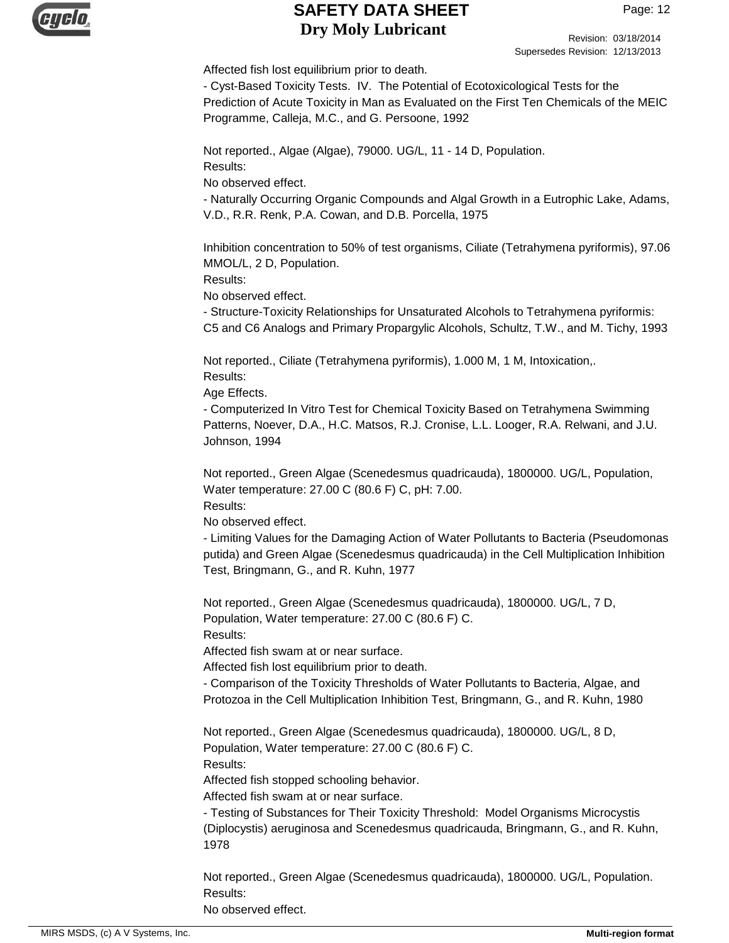

Revision: 03/18/2014 Supersedes Revision: 12/13/2013

Affected fish lost equilibrium prior to death.

- Cyst-Based Toxicity Tests. IV. The Potential of Ecotoxicological Tests for the Prediction of Acute Toxicity in Man as Evaluated on the First Ten Chemicals of the MEIC Programme, Calleja, M.C., and G. Persoone, 1992

Not reported., Algae (Algae), 79000. UG/L, 11 - 14 D, Population. Results:

No observed effect.

- Naturally Occurring Organic Compounds and Algal Growth in a Eutrophic Lake, Adams, V.D., R.R. Renk, P.A. Cowan, and D.B. Porcella, 1975

Inhibition concentration to 50% of test organisms, Ciliate (Tetrahymena pyriformis), 97.06 MMOL/L, 2 D, Population.

Results:

No observed effect.

- Structure-Toxicity Relationships for Unsaturated Alcohols to Tetrahymena pyriformis: C5 and C6 Analogs and Primary Propargylic Alcohols, Schultz, T.W., and M. Tichy, 1993

Not reported., Ciliate (Tetrahymena pyriformis), 1.000 M, 1 M, Intoxication,. Results:

Age Effects.

- Computerized In Vitro Test for Chemical Toxicity Based on Tetrahymena Swimming Patterns, Noever, D.A., H.C. Matsos, R.J. Cronise, L.L. Looger, R.A. Relwani, and J.U. Johnson, 1994

Not reported., Green Algae (Scenedesmus quadricauda), 1800000. UG/L, Population, Water temperature: 27.00 C (80.6 F) C, pH: 7.00.

Results:

No observed effect.

- Limiting Values for the Damaging Action of Water Pollutants to Bacteria (Pseudomonas putida) and Green Algae (Scenedesmus quadricauda) in the Cell Multiplication Inhibition Test, Bringmann, G., and R. Kuhn, 1977

Not reported., Green Algae (Scenedesmus quadricauda), 1800000. UG/L, 7 D, Population, Water temperature: 27.00 C (80.6 F) C. Results:

Affected fish swam at or near surface.

Affected fish lost equilibrium prior to death.

- Comparison of the Toxicity Thresholds of Water Pollutants to Bacteria, Algae, and Protozoa in the Cell Multiplication Inhibition Test, Bringmann, G., and R. Kuhn, 1980

Not reported., Green Algae (Scenedesmus quadricauda), 1800000. UG/L, 8 D, Population, Water temperature: 27.00 C (80.6 F) C. Results:

Affected fish stopped schooling behavior.

Affected fish swam at or near surface.

- Testing of Substances for Their Toxicity Threshold: Model Organisms Microcystis (Diplocystis) aeruginosa and Scenedesmus quadricauda, Bringmann, G., and R. Kuhn, 1978

Not reported., Green Algae (Scenedesmus quadricauda), 1800000. UG/L, Population. Results: No observed effect.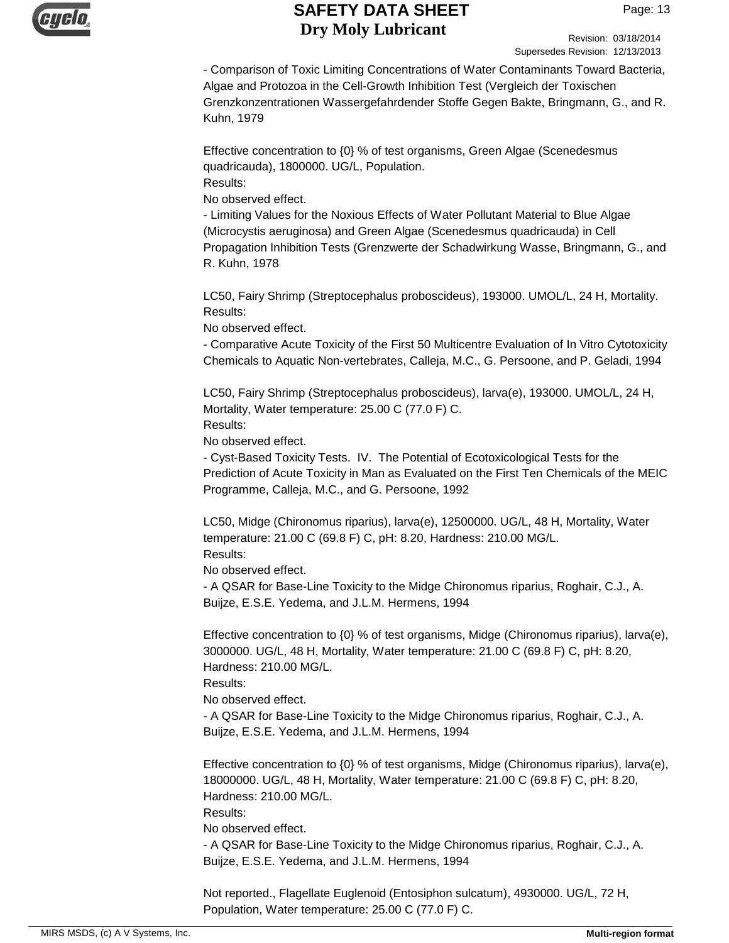

Revision: 03/18/2014 Supersedes Revision: 12/13/2013

- Comparison of Toxic Limiting Concentrations of Water Contaminants Toward Bacteria, Algae and Protozoa in the Cell-Growth Inhibition Test (Vergleich der Toxischen Grenzkonzentrationen Wassergefahrdender Stoffe Gegen Bakte, Bringmann, G., and R. Kuhn, 1979

Effective concentration to {0} % of test organisms, Green Algae (Scenedesmus quadricauda), 1800000. UG/L, Population. Results:

No observed effect.

- Limiting Values for the Noxious Effects of Water Pollutant Material to Blue Algae (Microcystis aeruginosa) and Green Algae (Scenedesmus quadricauda) in Cell Propagation Inhibition Tests (Grenzwerte der Schadwirkung Wasse, Bringmann, G., and R. Kuhn, 1978

LC50, Fairy Shrimp (Streptocephalus proboscideus), 193000. UMOL/L, 24 H, Mortality. Results:

No observed effect.

- Comparative Acute Toxicity of the First 50 Multicentre Evaluation of In Vitro Cytotoxicity Chemicals to Aquatic Non-vertebrates, Calleja, M.C., G. Persoone, and P. Geladi, 1994

LC50, Fairy Shrimp (Streptocephalus proboscideus), larva(e), 193000. UMOL/L, 24 H, Mortality, Water temperature: 25.00 C (77.0 F) C.

Results:

No observed effect.

- Cyst-Based Toxicity Tests. IV. The Potential of Ecotoxicological Tests for the Prediction of Acute Toxicity in Man as Evaluated on the First Ten Chemicals of the MEIC Programme, Calleja, M.C., and G. Persoone, 1992

LC50, Midge (Chironomus riparius), larva(e), 12500000. UG/L, 48 H, Mortality, Water temperature: 21.00 C (69.8 F) C, pH: 8.20, Hardness: 210.00 MG/L. Results:

No observed effect.

- A QSAR for Base-Line Toxicity to the Midge Chironomus riparius, Roghair, C.J., A. Buijze, E.S.E. Yedema, and J.L.M. Hermens, 1994

Effective concentration to {0} % of test organisms, Midge (Chironomus riparius), larva(e), 3000000. UG/L, 48 H, Mortality, Water temperature: 21.00 C (69.8 F) C, pH: 8.20, Hardness: 210.00 MG/L.

Results:

No observed effect.

- A QSAR for Base-Line Toxicity to the Midge Chironomus riparius, Roghair, C.J., A. Buijze, E.S.E. Yedema, and J.L.M. Hermens, 1994

Effective concentration to  ${0}$  % of test organisms, Midge (Chironomus riparius), larva(e), 18000000. UG/L, 48 H, Mortality, Water temperature: 21.00 C (69.8 F) C, pH: 8.20, Hardness: 210.00 MG/L.

Results:

No observed effect.

- A QSAR for Base-Line Toxicity to the Midge Chironomus riparius, Roghair, C.J., A. Buijze, E.S.E. Yedema, and J.L.M. Hermens, 1994

Not reported., Flagellate Euglenoid (Entosiphon sulcatum), 4930000. UG/L, 72 H, Population, Water temperature: 25.00 C (77.0 F) C.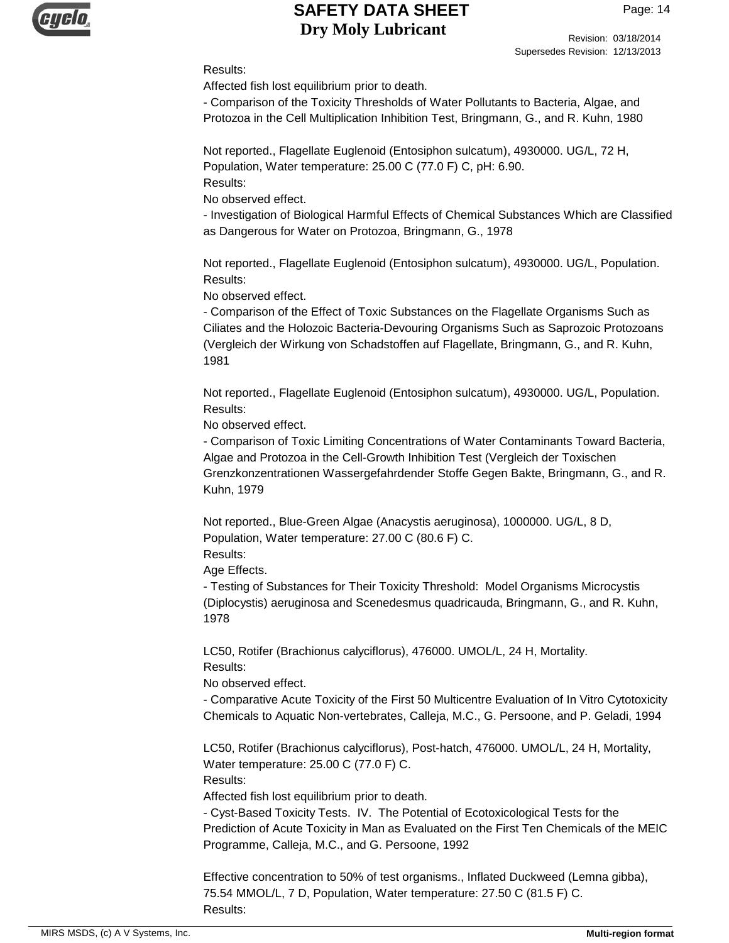

Revision: 03/18/2014 Supersedes Revision: 12/13/2013

#### Results:

Affected fish lost equilibrium prior to death.

- Comparison of the Toxicity Thresholds of Water Pollutants to Bacteria, Algae, and Protozoa in the Cell Multiplication Inhibition Test, Bringmann, G., and R. Kuhn, 1980

Not reported., Flagellate Euglenoid (Entosiphon sulcatum), 4930000. UG/L, 72 H, Population, Water temperature: 25.00 C (77.0 F) C, pH: 6.90. Results:

No observed effect.

- Investigation of Biological Harmful Effects of Chemical Substances Which are Classified as Dangerous for Water on Protozoa, Bringmann, G., 1978

Not reported., Flagellate Euglenoid (Entosiphon sulcatum), 4930000. UG/L, Population. Results:

No observed effect.

- Comparison of the Effect of Toxic Substances on the Flagellate Organisms Such as Ciliates and the Holozoic Bacteria-Devouring Organisms Such as Saprozoic Protozoans (Vergleich der Wirkung von Schadstoffen auf Flagellate, Bringmann, G., and R. Kuhn, 1981

Not reported., Flagellate Euglenoid (Entosiphon sulcatum), 4930000. UG/L, Population. Results:

No observed effect.

- Comparison of Toxic Limiting Concentrations of Water Contaminants Toward Bacteria, Algae and Protozoa in the Cell-Growth Inhibition Test (Vergleich der Toxischen Grenzkonzentrationen Wassergefahrdender Stoffe Gegen Bakte, Bringmann, G., and R. Kuhn, 1979

Not reported., Blue-Green Algae (Anacystis aeruginosa), 1000000. UG/L, 8 D, Population, Water temperature: 27.00 C (80.6 F) C. Results:

Age Effects.

- Testing of Substances for Their Toxicity Threshold: Model Organisms Microcystis (Diplocystis) aeruginosa and Scenedesmus quadricauda, Bringmann, G., and R. Kuhn, 1978

LC50, Rotifer (Brachionus calyciflorus), 476000. UMOL/L, 24 H, Mortality. Results:

No observed effect.

- Comparative Acute Toxicity of the First 50 Multicentre Evaluation of In Vitro Cytotoxicity Chemicals to Aquatic Non-vertebrates, Calleja, M.C., G. Persoone, and P. Geladi, 1994

LC50, Rotifer (Brachionus calyciflorus), Post-hatch, 476000. UMOL/L, 24 H, Mortality, Water temperature: 25.00 C (77.0 F) C. Results:

Affected fish lost equilibrium prior to death.

- Cyst-Based Toxicity Tests. IV. The Potential of Ecotoxicological Tests for the Prediction of Acute Toxicity in Man as Evaluated on the First Ten Chemicals of the MEIC Programme, Calleja, M.C., and G. Persoone, 1992

Effective concentration to 50% of test organisms., Inflated Duckweed (Lemna gibba), 75.54 MMOL/L, 7 D, Population, Water temperature: 27.50 C (81.5 F) C. Results: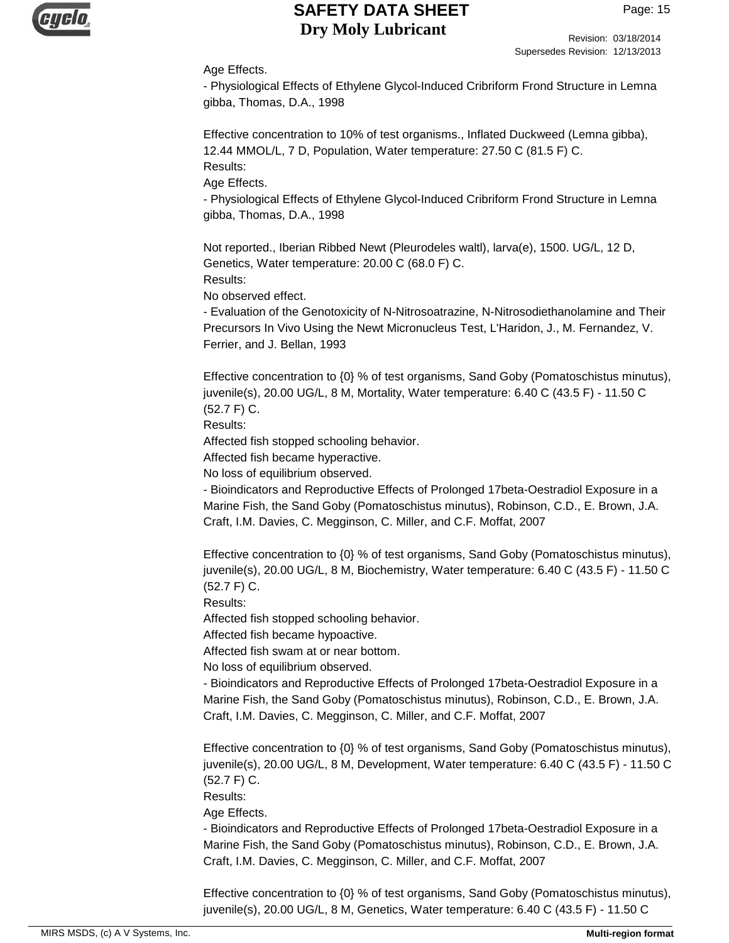

Revision: 03/18/2014 Supersedes Revision: 12/13/2013

#### Age Effects.

- Physiological Effects of Ethylene Glycol-Induced Cribriform Frond Structure in Lemna gibba, Thomas, D.A., 1998

Effective concentration to 10% of test organisms., Inflated Duckweed (Lemna gibba), 12.44 MMOL/L, 7 D, Population, Water temperature: 27.50 C (81.5 F) C. Results:

Age Effects.

- Physiological Effects of Ethylene Glycol-Induced Cribriform Frond Structure in Lemna gibba, Thomas, D.A., 1998

Not reported., Iberian Ribbed Newt (Pleurodeles waltl), larva(e), 1500. UG/L, 12 D, Genetics, Water temperature: 20.00 C (68.0 F) C. Results:

No observed effect.

- Evaluation of the Genotoxicity of N-Nitrosoatrazine, N-Nitrosodiethanolamine and Their Precursors In Vivo Using the Newt Micronucleus Test, L'Haridon, J., M. Fernandez, V. Ferrier, and J. Bellan, 1993

Effective concentration to {0} % of test organisms, Sand Goby (Pomatoschistus minutus), juvenile(s), 20.00 UG/L, 8 M, Mortality, Water temperature: 6.40 C (43.5 F) - 11.50 C (52.7 F) C.

Results:

Affected fish stopped schooling behavior.

Affected fish became hyperactive.

No loss of equilibrium observed.

- Bioindicators and Reproductive Effects of Prolonged 17beta-Oestradiol Exposure in a Marine Fish, the Sand Goby (Pomatoschistus minutus), Robinson, C.D., E. Brown, J.A. Craft, I.M. Davies, C. Megginson, C. Miller, and C.F. Moffat, 2007

Effective concentration to {0} % of test organisms, Sand Goby (Pomatoschistus minutus), juvenile(s), 20.00 UG/L, 8 M, Biochemistry, Water temperature: 6.40 C (43.5 F) - 11.50 C (52.7 F) C.

Results:

Affected fish stopped schooling behavior.

Affected fish became hypoactive.

Affected fish swam at or near bottom.

No loss of equilibrium observed.

- Bioindicators and Reproductive Effects of Prolonged 17beta-Oestradiol Exposure in a Marine Fish, the Sand Goby (Pomatoschistus minutus), Robinson, C.D., E. Brown, J.A. Craft, I.M. Davies, C. Megginson, C. Miller, and C.F. Moffat, 2007

Effective concentration to {0} % of test organisms, Sand Goby (Pomatoschistus minutus), juvenile(s), 20.00 UG/L, 8 M, Development, Water temperature: 6.40 C (43.5 F) - 11.50 C (52.7 F) C.

Results:

Age Effects.

- Bioindicators and Reproductive Effects of Prolonged 17beta-Oestradiol Exposure in a Marine Fish, the Sand Goby (Pomatoschistus minutus), Robinson, C.D., E. Brown, J.A. Craft, I.M. Davies, C. Megginson, C. Miller, and C.F. Moffat, 2007

Effective concentration to {0} % of test organisms, Sand Goby (Pomatoschistus minutus), juvenile(s), 20.00 UG/L, 8 M, Genetics, Water temperature: 6.40 C (43.5 F) - 11.50 C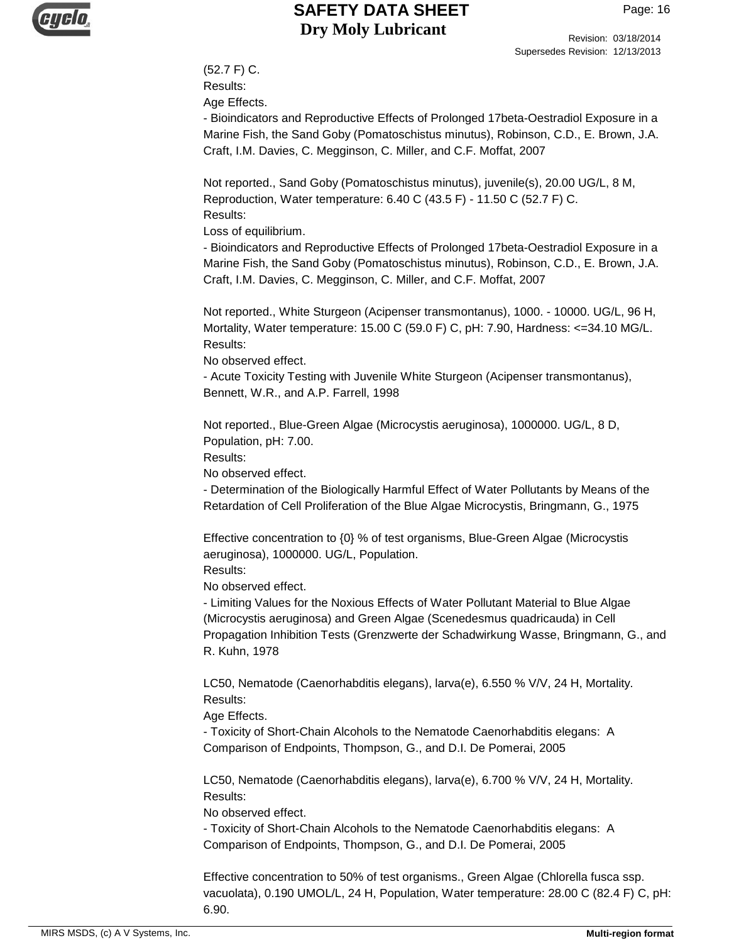

Revision: 03/18/2014 Supersedes Revision: 12/13/2013

(52.7 F) C. Results:

Age Effects.

- Bioindicators and Reproductive Effects of Prolonged 17beta-Oestradiol Exposure in a Marine Fish, the Sand Goby (Pomatoschistus minutus), Robinson, C.D., E. Brown, J.A. Craft, I.M. Davies, C. Megginson, C. Miller, and C.F. Moffat, 2007

Not reported., Sand Goby (Pomatoschistus minutus), juvenile(s), 20.00 UG/L, 8 M, Reproduction, Water temperature: 6.40 C (43.5 F) - 11.50 C (52.7 F) C. Results:

Loss of equilibrium.

- Bioindicators and Reproductive Effects of Prolonged 17beta-Oestradiol Exposure in a Marine Fish, the Sand Goby (Pomatoschistus minutus), Robinson, C.D., E. Brown, J.A. Craft, I.M. Davies, C. Megginson, C. Miller, and C.F. Moffat, 2007

Not reported., White Sturgeon (Acipenser transmontanus), 1000. - 10000. UG/L, 96 H, Mortality, Water temperature: 15.00 C (59.0 F) C, pH: 7.90, Hardness: <=34.10 MG/L. Results:

No observed effect.

- Acute Toxicity Testing with Juvenile White Sturgeon (Acipenser transmontanus), Bennett, W.R., and A.P. Farrell, 1998

Not reported., Blue-Green Algae (Microcystis aeruginosa), 1000000. UG/L, 8 D, Population, pH: 7.00.

Results:

No observed effect.

- Determination of the Biologically Harmful Effect of Water Pollutants by Means of the Retardation of Cell Proliferation of the Blue Algae Microcystis, Bringmann, G., 1975

Effective concentration to {0} % of test organisms, Blue-Green Algae (Microcystis aeruginosa), 1000000. UG/L, Population. Results:

No observed effect.

- Limiting Values for the Noxious Effects of Water Pollutant Material to Blue Algae (Microcystis aeruginosa) and Green Algae (Scenedesmus quadricauda) in Cell Propagation Inhibition Tests (Grenzwerte der Schadwirkung Wasse, Bringmann, G., and R. Kuhn, 1978

LC50, Nematode (Caenorhabditis elegans), larva(e), 6.550 % V/V, 24 H, Mortality. Results:

Age Effects.

- Toxicity of Short-Chain Alcohols to the Nematode Caenorhabditis elegans: A Comparison of Endpoints, Thompson, G., and D.I. De Pomerai, 2005

LC50, Nematode (Caenorhabditis elegans), larva(e), 6.700 % V/V, 24 H, Mortality. Results:

No observed effect.

- Toxicity of Short-Chain Alcohols to the Nematode Caenorhabditis elegans: A Comparison of Endpoints, Thompson, G., and D.I. De Pomerai, 2005

Effective concentration to 50% of test organisms., Green Algae (Chlorella fusca ssp. vacuolata), 0.190 UMOL/L, 24 H, Population, Water temperature: 28.00 C (82.4 F) C, pH: 6.90.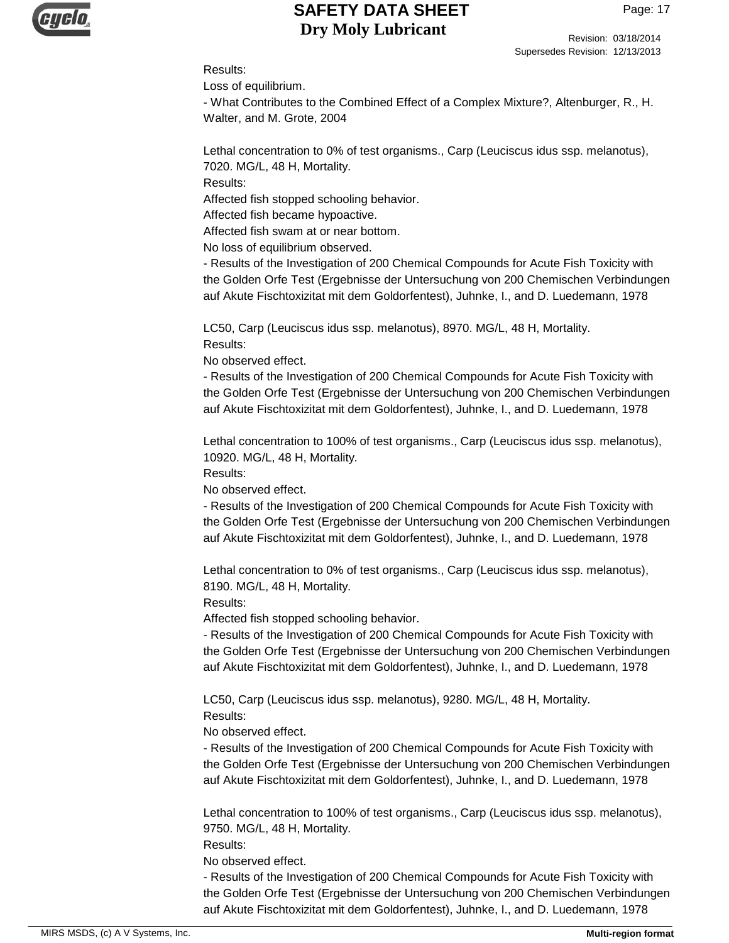

Revision: 03/18/2014 Supersedes Revision: 12/13/2013

#### Results:

Loss of equilibrium.

- What Contributes to the Combined Effect of a Complex Mixture?, Altenburger, R., H. Walter, and M. Grote, 2004

Lethal concentration to 0% of test organisms., Carp (Leuciscus idus ssp. melanotus), 7020. MG/L, 48 H, Mortality.

Results:

Affected fish stopped schooling behavior.

Affected fish became hypoactive.

Affected fish swam at or near bottom.

No loss of equilibrium observed.

- Results of the Investigation of 200 Chemical Compounds for Acute Fish Toxicity with the Golden Orfe Test (Ergebnisse der Untersuchung von 200 Chemischen Verbindungen auf Akute Fischtoxizitat mit dem Goldorfentest), Juhnke, I., and D. Luedemann, 1978

LC50, Carp (Leuciscus idus ssp. melanotus), 8970. MG/L, 48 H, Mortality. Results:

No observed effect.

- Results of the Investigation of 200 Chemical Compounds for Acute Fish Toxicity with the Golden Orfe Test (Ergebnisse der Untersuchung von 200 Chemischen Verbindungen auf Akute Fischtoxizitat mit dem Goldorfentest), Juhnke, I., and D. Luedemann, 1978

Lethal concentration to 100% of test organisms., Carp (Leuciscus idus ssp. melanotus), 10920. MG/L, 48 H, Mortality.

Results:

No observed effect.

- Results of the Investigation of 200 Chemical Compounds for Acute Fish Toxicity with the Golden Orfe Test (Ergebnisse der Untersuchung von 200 Chemischen Verbindungen auf Akute Fischtoxizitat mit dem Goldorfentest), Juhnke, I., and D. Luedemann, 1978

Lethal concentration to 0% of test organisms., Carp (Leuciscus idus ssp. melanotus), 8190. MG/L, 48 H, Mortality.

Results:

Affected fish stopped schooling behavior.

- Results of the Investigation of 200 Chemical Compounds for Acute Fish Toxicity with the Golden Orfe Test (Ergebnisse der Untersuchung von 200 Chemischen Verbindungen auf Akute Fischtoxizitat mit dem Goldorfentest), Juhnke, I., and D. Luedemann, 1978

LC50, Carp (Leuciscus idus ssp. melanotus), 9280. MG/L, 48 H, Mortality. Results:

No observed effect.

- Results of the Investigation of 200 Chemical Compounds for Acute Fish Toxicity with the Golden Orfe Test (Ergebnisse der Untersuchung von 200 Chemischen Verbindungen auf Akute Fischtoxizitat mit dem Goldorfentest), Juhnke, I., and D. Luedemann, 1978

Lethal concentration to 100% of test organisms., Carp (Leuciscus idus ssp. melanotus), 9750. MG/L, 48 H, Mortality.

Results:

No observed effect.

- Results of the Investigation of 200 Chemical Compounds for Acute Fish Toxicity with the Golden Orfe Test (Ergebnisse der Untersuchung von 200 Chemischen Verbindungen auf Akute Fischtoxizitat mit dem Goldorfentest), Juhnke, I., and D. Luedemann, 1978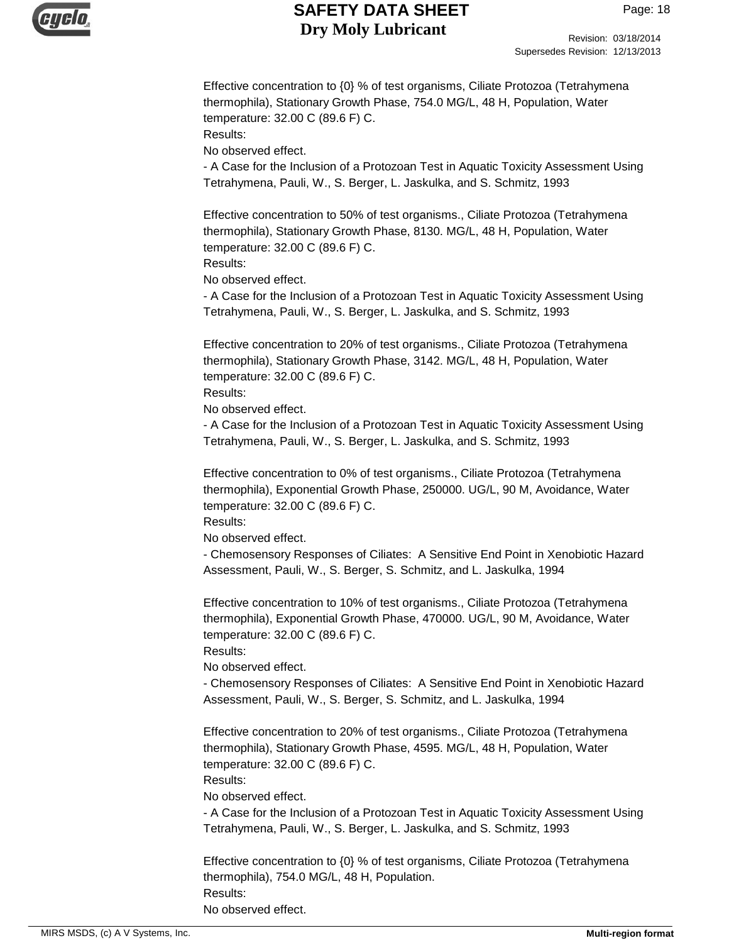

Revision: 03/18/2014 Supersedes Revision: 12/13/2013

Effective concentration to {0} % of test organisms, Ciliate Protozoa (Tetrahymena thermophila), Stationary Growth Phase, 754.0 MG/L, 48 H, Population, Water temperature: 32.00 C (89.6 F) C.

Results:

No observed effect.

- A Case for the Inclusion of a Protozoan Test in Aquatic Toxicity Assessment Using Tetrahymena, Pauli, W., S. Berger, L. Jaskulka, and S. Schmitz, 1993

Effective concentration to 50% of test organisms., Ciliate Protozoa (Tetrahymena thermophila), Stationary Growth Phase, 8130. MG/L, 48 H, Population, Water temperature: 32.00 C (89.6 F) C.

Results:

No observed effect.

- A Case for the Inclusion of a Protozoan Test in Aquatic Toxicity Assessment Using Tetrahymena, Pauli, W., S. Berger, L. Jaskulka, and S. Schmitz, 1993

Effective concentration to 20% of test organisms., Ciliate Protozoa (Tetrahymena thermophila), Stationary Growth Phase, 3142. MG/L, 48 H, Population, Water temperature: 32.00 C (89.6 F) C.

Results:

No observed effect.

- A Case for the Inclusion of a Protozoan Test in Aquatic Toxicity Assessment Using Tetrahymena, Pauli, W., S. Berger, L. Jaskulka, and S. Schmitz, 1993

Effective concentration to 0% of test organisms., Ciliate Protozoa (Tetrahymena thermophila), Exponential Growth Phase, 250000. UG/L, 90 M, Avoidance, Water temperature: 32.00 C (89.6 F) C.

Results:

No observed effect.

- Chemosensory Responses of Ciliates: A Sensitive End Point in Xenobiotic Hazard Assessment, Pauli, W., S. Berger, S. Schmitz, and L. Jaskulka, 1994

Effective concentration to 10% of test organisms., Ciliate Protozoa (Tetrahymena thermophila), Exponential Growth Phase, 470000. UG/L, 90 M, Avoidance, Water temperature: 32.00 C (89.6 F) C.

Results:

No observed effect.

- Chemosensory Responses of Ciliates: A Sensitive End Point in Xenobiotic Hazard Assessment, Pauli, W., S. Berger, S. Schmitz, and L. Jaskulka, 1994

Effective concentration to 20% of test organisms., Ciliate Protozoa (Tetrahymena thermophila), Stationary Growth Phase, 4595. MG/L, 48 H, Population, Water temperature: 32.00 C (89.6 F) C. Results:

No observed effect.

- A Case for the Inclusion of a Protozoan Test in Aquatic Toxicity Assessment Using Tetrahymena, Pauli, W., S. Berger, L. Jaskulka, and S. Schmitz, 1993

Effective concentration to {0} % of test organisms, Ciliate Protozoa (Tetrahymena thermophila), 754.0 MG/L, 48 H, Population. Results: No observed effect.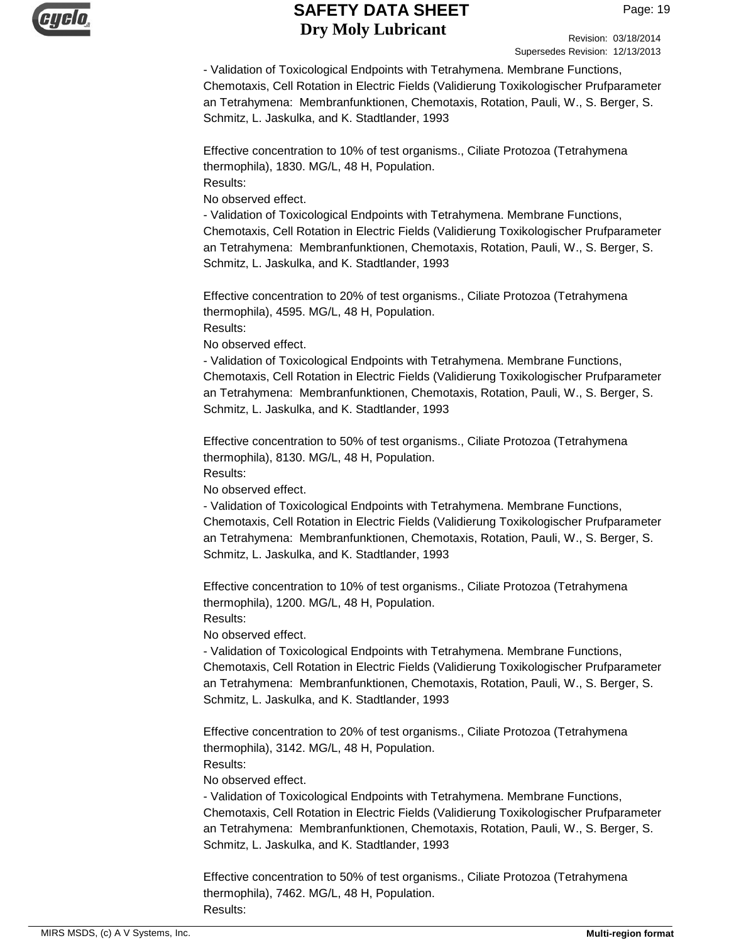

Revision: 03/18/2014 Supersedes Revision: 12/13/2013

- Validation of Toxicological Endpoints with Tetrahymena. Membrane Functions, Chemotaxis, Cell Rotation in Electric Fields (Validierung Toxikologischer Prufparameter an Tetrahymena: Membranfunktionen, Chemotaxis, Rotation, Pauli, W., S. Berger, S. Schmitz, L. Jaskulka, and K. Stadtlander, 1993

Effective concentration to 10% of test organisms., Ciliate Protozoa (Tetrahymena thermophila), 1830. MG/L, 48 H, Population. Results:

No observed effect.

- Validation of Toxicological Endpoints with Tetrahymena. Membrane Functions, Chemotaxis, Cell Rotation in Electric Fields (Validierung Toxikologischer Prufparameter an Tetrahymena: Membranfunktionen, Chemotaxis, Rotation, Pauli, W., S. Berger, S. Schmitz, L. Jaskulka, and K. Stadtlander, 1993

Effective concentration to 20% of test organisms., Ciliate Protozoa (Tetrahymena thermophila), 4595. MG/L, 48 H, Population. Results:

No observed effect.

- Validation of Toxicological Endpoints with Tetrahymena. Membrane Functions, Chemotaxis, Cell Rotation in Electric Fields (Validierung Toxikologischer Prufparameter an Tetrahymena: Membranfunktionen, Chemotaxis, Rotation, Pauli, W., S. Berger, S. Schmitz, L. Jaskulka, and K. Stadtlander, 1993

Effective concentration to 50% of test organisms., Ciliate Protozoa (Tetrahymena thermophila), 8130. MG/L, 48 H, Population.

Results:

No observed effect.

- Validation of Toxicological Endpoints with Tetrahymena. Membrane Functions, Chemotaxis, Cell Rotation in Electric Fields (Validierung Toxikologischer Prufparameter an Tetrahymena: Membranfunktionen, Chemotaxis, Rotation, Pauli, W., S. Berger, S. Schmitz, L. Jaskulka, and K. Stadtlander, 1993

Effective concentration to 10% of test organisms., Ciliate Protozoa (Tetrahymena thermophila), 1200. MG/L, 48 H, Population. Results:

No observed effect.

- Validation of Toxicological Endpoints with Tetrahymena. Membrane Functions, Chemotaxis, Cell Rotation in Electric Fields (Validierung Toxikologischer Prufparameter an Tetrahymena: Membranfunktionen, Chemotaxis, Rotation, Pauli, W., S. Berger, S. Schmitz, L. Jaskulka, and K. Stadtlander, 1993

Effective concentration to 20% of test organisms., Ciliate Protozoa (Tetrahymena thermophila), 3142. MG/L, 48 H, Population. Results:

No observed effect.

- Validation of Toxicological Endpoints with Tetrahymena. Membrane Functions, Chemotaxis, Cell Rotation in Electric Fields (Validierung Toxikologischer Prufparameter an Tetrahymena: Membranfunktionen, Chemotaxis, Rotation, Pauli, W., S. Berger, S. Schmitz, L. Jaskulka, and K. Stadtlander, 1993

Effective concentration to 50% of test organisms., Ciliate Protozoa (Tetrahymena thermophila), 7462. MG/L, 48 H, Population. Results: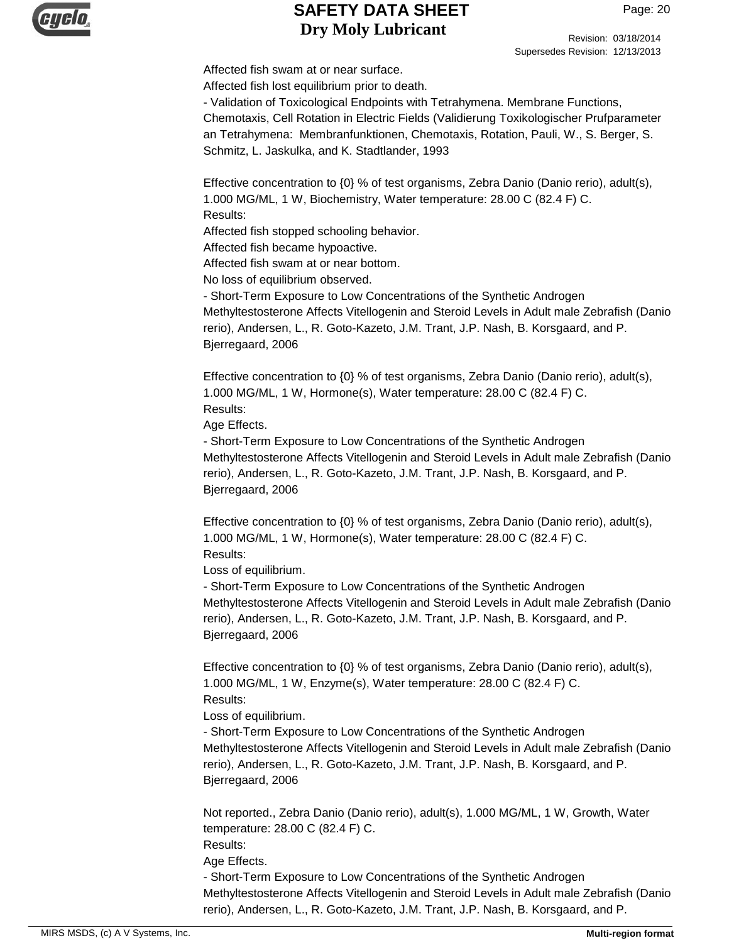

Revision: 03/18/2014 Supersedes Revision: 12/13/2013

Affected fish swam at or near surface. Affected fish lost equilibrium prior to death.

- Validation of Toxicological Endpoints with Tetrahymena. Membrane Functions, Chemotaxis, Cell Rotation in Electric Fields (Validierung Toxikologischer Prufparameter an Tetrahymena: Membranfunktionen, Chemotaxis, Rotation, Pauli, W., S. Berger, S. Schmitz, L. Jaskulka, and K. Stadtlander, 1993

Effective concentration to  ${0}$  % of test organisms, Zebra Danio (Danio rerio), adult(s), 1.000 MG/ML, 1 W, Biochemistry, Water temperature: 28.00 C (82.4 F) C. Results:

Affected fish stopped schooling behavior.

Affected fish became hypoactive.

Affected fish swam at or near bottom.

No loss of equilibrium observed.

- Short-Term Exposure to Low Concentrations of the Synthetic Androgen Methyltestosterone Affects Vitellogenin and Steroid Levels in Adult male Zebrafish (Danio rerio), Andersen, L., R. Goto-Kazeto, J.M. Trant, J.P. Nash, B. Korsgaard, and P. Bjerregaard, 2006

Effective concentration to {0} % of test organisms, Zebra Danio (Danio rerio), adult(s), 1.000 MG/ML, 1 W, Hormone(s), Water temperature: 28.00 C (82.4 F) C. Results:

Age Effects.

- Short-Term Exposure to Low Concentrations of the Synthetic Androgen Methyltestosterone Affects Vitellogenin and Steroid Levels in Adult male Zebrafish (Danio rerio), Andersen, L., R. Goto-Kazeto, J.M. Trant, J.P. Nash, B. Korsgaard, and P. Bjerregaard, 2006

Effective concentration to {0} % of test organisms, Zebra Danio (Danio rerio), adult(s), 1.000 MG/ML, 1 W, Hormone(s), Water temperature: 28.00 C (82.4 F) C. Results:

Loss of equilibrium.

- Short-Term Exposure to Low Concentrations of the Synthetic Androgen Methyltestosterone Affects Vitellogenin and Steroid Levels in Adult male Zebrafish (Danio rerio), Andersen, L., R. Goto-Kazeto, J.M. Trant, J.P. Nash, B. Korsgaard, and P. Bjerregaard, 2006

Effective concentration to  ${0}$  % of test organisms, Zebra Danio (Danio rerio), adult(s), 1.000 MG/ML, 1 W, Enzyme(s), Water temperature: 28.00 C (82.4 F) C. Results:

Loss of equilibrium.

- Short-Term Exposure to Low Concentrations of the Synthetic Androgen Methyltestosterone Affects Vitellogenin and Steroid Levels in Adult male Zebrafish (Danio rerio), Andersen, L., R. Goto-Kazeto, J.M. Trant, J.P. Nash, B. Korsgaard, and P. Bjerregaard, 2006

Not reported., Zebra Danio (Danio rerio), adult(s), 1.000 MG/ML, 1 W, Growth, Water temperature: 28.00 C (82.4 F) C.

Results:

Age Effects.

- Short-Term Exposure to Low Concentrations of the Synthetic Androgen Methyltestosterone Affects Vitellogenin and Steroid Levels in Adult male Zebrafish (Danio rerio), Andersen, L., R. Goto-Kazeto, J.M. Trant, J.P. Nash, B. Korsgaard, and P.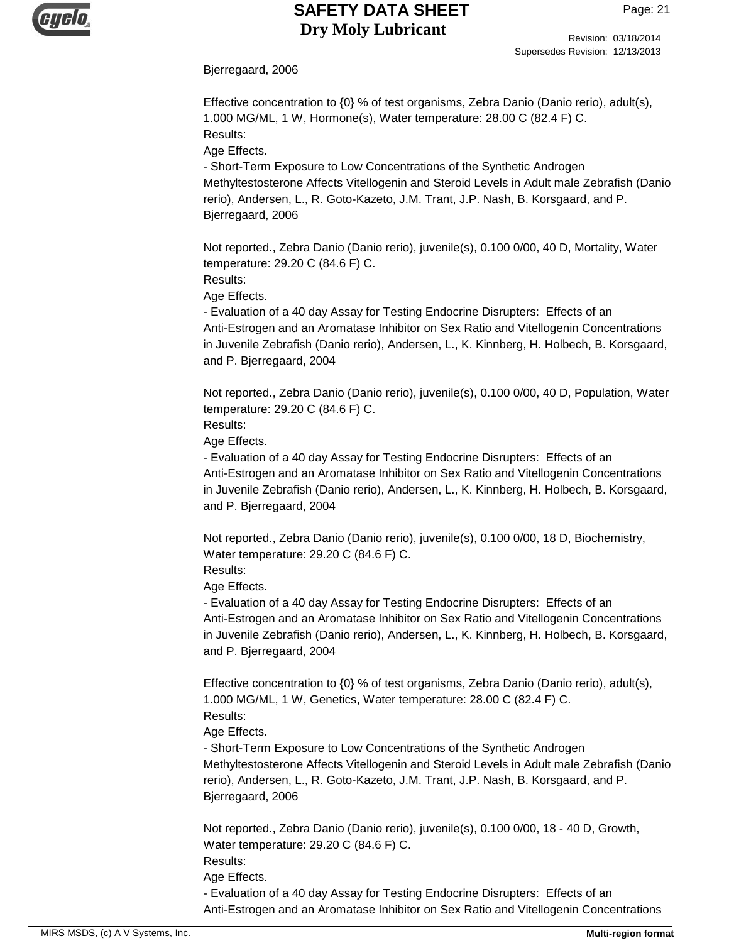

Revision: 03/18/2014 Supersedes Revision: 12/13/2013

Bjerregaard, 2006

Effective concentration to {0} % of test organisms, Zebra Danio (Danio rerio), adult(s), 1.000 MG/ML, 1 W, Hormone(s), Water temperature: 28.00 C (82.4 F) C. Results:

Age Effects.

- Short-Term Exposure to Low Concentrations of the Synthetic Androgen Methyltestosterone Affects Vitellogenin and Steroid Levels in Adult male Zebrafish (Danio rerio), Andersen, L., R. Goto-Kazeto, J.M. Trant, J.P. Nash, B. Korsgaard, and P. Bjerregaard, 2006

Not reported., Zebra Danio (Danio rerio), juvenile(s), 0.100 0/00, 40 D, Mortality, Water temperature: 29.20 C (84.6 F) C.

Results:

Age Effects.

- Evaluation of a 40 day Assay for Testing Endocrine Disrupters: Effects of an Anti-Estrogen and an Aromatase Inhibitor on Sex Ratio and Vitellogenin Concentrations in Juvenile Zebrafish (Danio rerio), Andersen, L., K. Kinnberg, H. Holbech, B. Korsgaard, and P. Bjerregaard, 2004

Not reported., Zebra Danio (Danio rerio), juvenile(s), 0.100 0/00, 40 D, Population, Water temperature: 29.20 C (84.6 F) C.

Results:

Age Effects.

- Evaluation of a 40 day Assay for Testing Endocrine Disrupters: Effects of an Anti-Estrogen and an Aromatase Inhibitor on Sex Ratio and Vitellogenin Concentrations in Juvenile Zebrafish (Danio rerio), Andersen, L., K. Kinnberg, H. Holbech, B. Korsgaard, and P. Bjerregaard, 2004

Not reported., Zebra Danio (Danio rerio), juvenile(s), 0.100 0/00, 18 D, Biochemistry, Water temperature: 29.20 C (84.6 F) C.

Results:

Age Effects.

- Evaluation of a 40 day Assay for Testing Endocrine Disrupters: Effects of an Anti-Estrogen and an Aromatase Inhibitor on Sex Ratio and Vitellogenin Concentrations in Juvenile Zebrafish (Danio rerio), Andersen, L., K. Kinnberg, H. Holbech, B. Korsgaard, and P. Bjerregaard, 2004

Effective concentration to {0} % of test organisms, Zebra Danio (Danio rerio), adult(s), 1.000 MG/ML, 1 W, Genetics, Water temperature: 28.00 C (82.4 F) C.

Results:

Age Effects. - Short-Term Exposure to Low Concentrations of the Synthetic Androgen Methyltestosterone Affects Vitellogenin and Steroid Levels in Adult male Zebrafish (Danio rerio), Andersen, L., R. Goto-Kazeto, J.M. Trant, J.P. Nash, B. Korsgaard, and P. Bjerregaard, 2006

Not reported., Zebra Danio (Danio rerio), juvenile(s), 0.100 0/00, 18 - 40 D, Growth, Water temperature: 29.20 C (84.6 F) C. Results:

Age Effects.

- Evaluation of a 40 day Assay for Testing Endocrine Disrupters: Effects of an Anti-Estrogen and an Aromatase Inhibitor on Sex Ratio and Vitellogenin Concentrations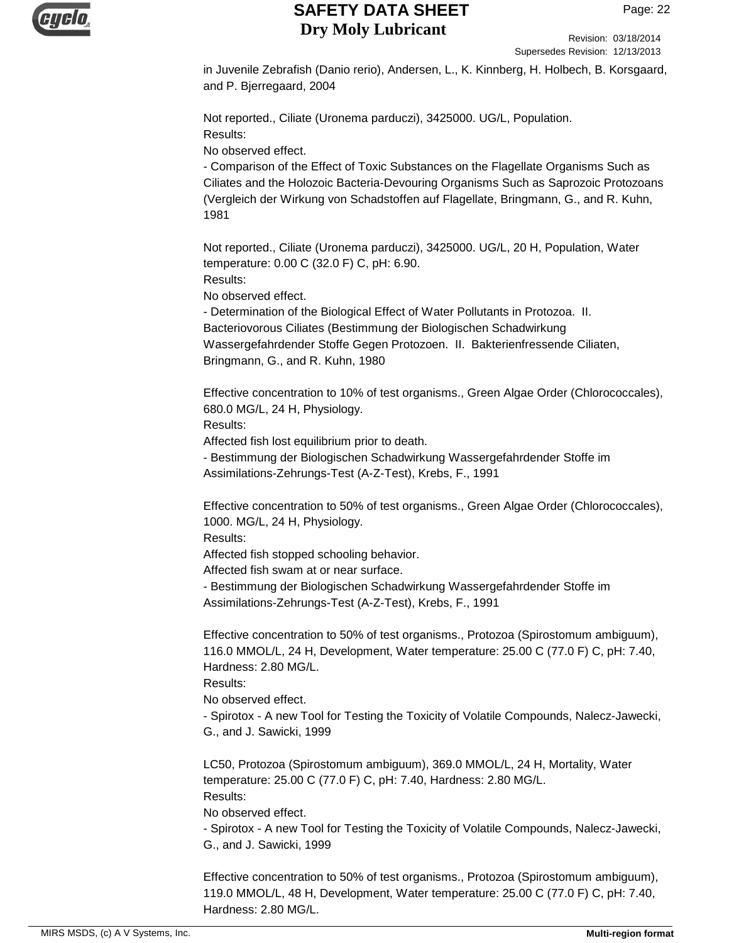

Revision: 03/18/2014 Supersedes Revision: 12/13/2013

in Juvenile Zebrafish (Danio rerio), Andersen, L., K. Kinnberg, H. Holbech, B. Korsgaard, and P. Bjerregaard, 2004

Not reported., Ciliate (Uronema parduczi), 3425000. UG/L, Population. Results:

No observed effect.

- Comparison of the Effect of Toxic Substances on the Flagellate Organisms Such as Ciliates and the Holozoic Bacteria-Devouring Organisms Such as Saprozoic Protozoans (Vergleich der Wirkung von Schadstoffen auf Flagellate, Bringmann, G., and R. Kuhn, 1981

Not reported., Ciliate (Uronema parduczi), 3425000. UG/L, 20 H, Population, Water temperature: 0.00 C (32.0 F) C, pH: 6.90. Results:

No observed effect.

- Determination of the Biological Effect of Water Pollutants in Protozoa. II. Bacteriovorous Ciliates (Bestimmung der Biologischen Schadwirkung Wassergefahrdender Stoffe Gegen Protozoen. II. Bakterienfressende Ciliaten, Bringmann, G., and R. Kuhn, 1980

Effective concentration to 10% of test organisms., Green Algae Order (Chlorococcales), 680.0 MG/L, 24 H, Physiology. Results:

Affected fish lost equilibrium prior to death.

- Bestimmung der Biologischen Schadwirkung Wassergefahrdender Stoffe im Assimilations-Zehrungs-Test (A-Z-Test), Krebs, F., 1991

Effective concentration to 50% of test organisms., Green Algae Order (Chlorococcales), 1000. MG/L, 24 H, Physiology.

Results:

Affected fish stopped schooling behavior.

Affected fish swam at or near surface.

- Bestimmung der Biologischen Schadwirkung Wassergefahrdender Stoffe im Assimilations-Zehrungs-Test (A-Z-Test), Krebs, F., 1991

Effective concentration to 50% of test organisms., Protozoa (Spirostomum ambiguum), 116.0 MMOL/L, 24 H, Development, Water temperature: 25.00 C (77.0 F) C, pH: 7.40, Hardness: 2.80 MG/L.

Results:

No observed effect.

- Spirotox - A new Tool for Testing the Toxicity of Volatile Compounds, Nalecz-Jawecki, G., and J. Sawicki, 1999

LC50, Protozoa (Spirostomum ambiguum), 369.0 MMOL/L, 24 H, Mortality, Water temperature: 25.00 C (77.0 F) C, pH: 7.40, Hardness: 2.80 MG/L. Results:

No observed effect.

- Spirotox - A new Tool for Testing the Toxicity of Volatile Compounds, Nalecz-Jawecki, G., and J. Sawicki, 1999

Effective concentration to 50% of test organisms., Protozoa (Spirostomum ambiguum), 119.0 MMOL/L, 48 H, Development, Water temperature: 25.00 C (77.0 F) C, pH: 7.40, Hardness: 2.80 MG/L.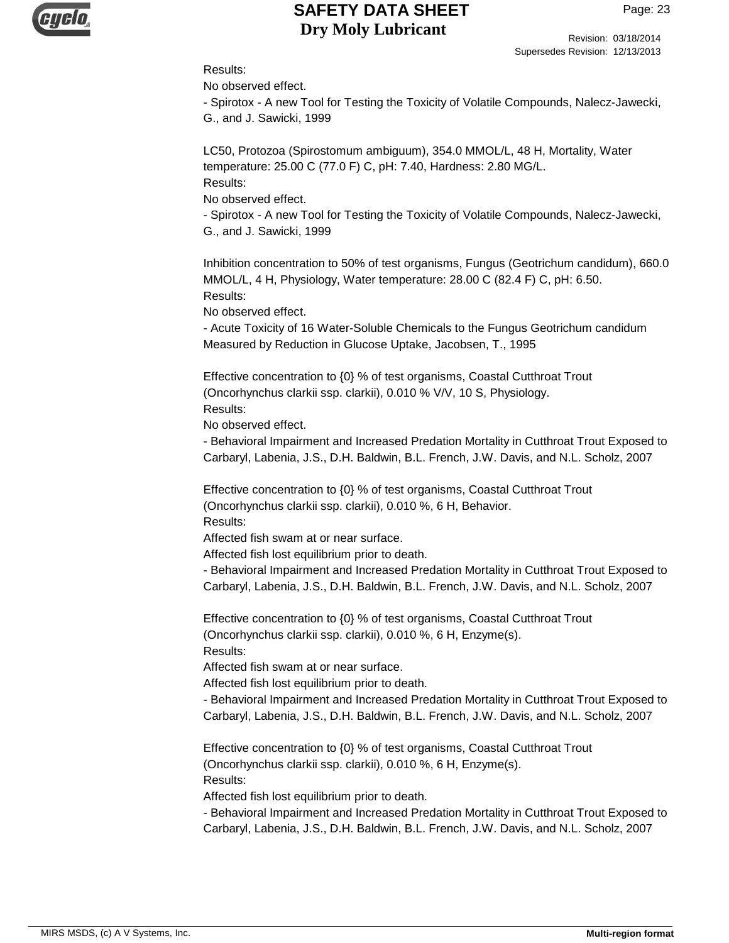

Revision: 03/18/2014 Supersedes Revision: 12/13/2013

#### Results:

No observed effect.

- Spirotox - A new Tool for Testing the Toxicity of Volatile Compounds, Nalecz-Jawecki, G., and J. Sawicki, 1999

LC50, Protozoa (Spirostomum ambiguum), 354.0 MMOL/L, 48 H, Mortality, Water temperature: 25.00 C (77.0 F) C, pH: 7.40, Hardness: 2.80 MG/L. Results:

No observed effect.

- Spirotox - A new Tool for Testing the Toxicity of Volatile Compounds, Nalecz-Jawecki, G., and J. Sawicki, 1999

Inhibition concentration to 50% of test organisms, Fungus (Geotrichum candidum), 660.0 MMOL/L, 4 H, Physiology, Water temperature: 28.00 C (82.4 F) C, pH: 6.50. Results:

No observed effect.

- Acute Toxicity of 16 Water-Soluble Chemicals to the Fungus Geotrichum candidum Measured by Reduction in Glucose Uptake, Jacobsen, T., 1995

Effective concentration to {0} % of test organisms, Coastal Cutthroat Trout (Oncorhynchus clarkii ssp. clarkii), 0.010 % V/V, 10 S, Physiology. Results:

No observed effect.

- Behavioral Impairment and Increased Predation Mortality in Cutthroat Trout Exposed to Carbaryl, Labenia, J.S., D.H. Baldwin, B.L. French, J.W. Davis, and N.L. Scholz, 2007

Effective concentration to {0} % of test organisms, Coastal Cutthroat Trout (Oncorhynchus clarkii ssp. clarkii), 0.010 %, 6 H, Behavior. Results:

Affected fish swam at or near surface.

Affected fish lost equilibrium prior to death.

- Behavioral Impairment and Increased Predation Mortality in Cutthroat Trout Exposed to Carbaryl, Labenia, J.S., D.H. Baldwin, B.L. French, J.W. Davis, and N.L. Scholz, 2007

Effective concentration to {0} % of test organisms, Coastal Cutthroat Trout (Oncorhynchus clarkii ssp. clarkii), 0.010 %, 6 H, Enzyme(s). Results:

Affected fish swam at or near surface.

Affected fish lost equilibrium prior to death.

- Behavioral Impairment and Increased Predation Mortality in Cutthroat Trout Exposed to Carbaryl, Labenia, J.S., D.H. Baldwin, B.L. French, J.W. Davis, and N.L. Scholz, 2007

Effective concentration to {0} % of test organisms, Coastal Cutthroat Trout (Oncorhynchus clarkii ssp. clarkii), 0.010 %, 6 H, Enzyme(s). Results:

Affected fish lost equilibrium prior to death.

- Behavioral Impairment and Increased Predation Mortality in Cutthroat Trout Exposed to Carbaryl, Labenia, J.S., D.H. Baldwin, B.L. French, J.W. Davis, and N.L. Scholz, 2007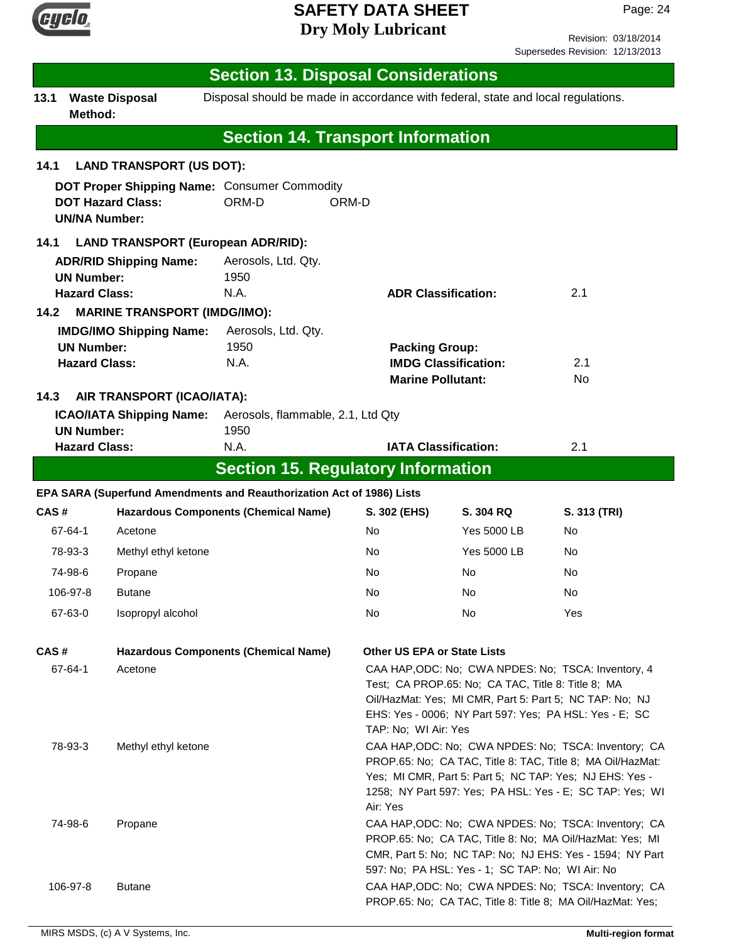

Revision: 03/18/2014 Supersedes Revision: 12/13/2013

|                                                                                                                                                                                                                                                                                                                                                                           | <b>Section 13. Disposal Considerations</b>                            |                     |                                                                                  |                                                                                                                                                                                                                                                       |                                                                                  |                                                                                                                    |
|---------------------------------------------------------------------------------------------------------------------------------------------------------------------------------------------------------------------------------------------------------------------------------------------------------------------------------------------------------------------------|-----------------------------------------------------------------------|---------------------|----------------------------------------------------------------------------------|-------------------------------------------------------------------------------------------------------------------------------------------------------------------------------------------------------------------------------------------------------|----------------------------------------------------------------------------------|--------------------------------------------------------------------------------------------------------------------|
| 13.1                                                                                                                                                                                                                                                                                                                                                                      | <b>Waste Disposal</b><br>Method:                                      |                     | Disposal should be made in accordance with federal, state and local regulations. |                                                                                                                                                                                                                                                       |                                                                                  |                                                                                                                    |
|                                                                                                                                                                                                                                                                                                                                                                           |                                                                       |                     | <b>Section 14. Transport Information</b>                                         |                                                                                                                                                                                                                                                       |                                                                                  |                                                                                                                    |
| 14.1                                                                                                                                                                                                                                                                                                                                                                      | <b>LAND TRANSPORT (US DOT):</b>                                       |                     |                                                                                  |                                                                                                                                                                                                                                                       |                                                                                  |                                                                                                                    |
|                                                                                                                                                                                                                                                                                                                                                                           | <b>DOT Hazard Class:</b><br><b>UN/NA Number:</b>                      |                     | DOT Proper Shipping Name: Consumer Commodity<br>ORM-D                            | ORM-D                                                                                                                                                                                                                                                 |                                                                                  |                                                                                                                    |
| 14.1                                                                                                                                                                                                                                                                                                                                                                      |                                                                       |                     | <b>LAND TRANSPORT (European ADR/RID):</b>                                        |                                                                                                                                                                                                                                                       |                                                                                  |                                                                                                                    |
| <b>ADR/RID Shipping Name:</b><br><b>UN Number:</b><br><b>Hazard Class:</b>                                                                                                                                                                                                                                                                                                |                                                                       |                     | Aerosols, Ltd. Qty.<br>1950<br>N.A.                                              | <b>ADR Classification:</b>                                                                                                                                                                                                                            |                                                                                  | 2.1                                                                                                                |
| 14.2                                                                                                                                                                                                                                                                                                                                                                      | <b>MARINE TRANSPORT (IMDG/IMO):</b><br><b>IMDG/IMO Shipping Name:</b> |                     | Aerosols, Ltd. Qty.                                                              |                                                                                                                                                                                                                                                       |                                                                                  |                                                                                                                    |
|                                                                                                                                                                                                                                                                                                                                                                           | <b>UN Number:</b><br><b>Hazard Class:</b>                             |                     | 1950<br>N.A.                                                                     |                                                                                                                                                                                                                                                       | <b>Packing Group:</b><br><b>IMDG Classification:</b><br><b>Marine Pollutant:</b> |                                                                                                                    |
| 14.3                                                                                                                                                                                                                                                                                                                                                                      | AIR TRANSPORT (ICAO/IATA):                                            |                     |                                                                                  |                                                                                                                                                                                                                                                       |                                                                                  |                                                                                                                    |
|                                                                                                                                                                                                                                                                                                                                                                           | <b>ICAO/IATA Shipping Name:</b>                                       |                     | Aerosols, flammable, 2.1, Ltd Qty<br>1950                                        |                                                                                                                                                                                                                                                       |                                                                                  |                                                                                                                    |
|                                                                                                                                                                                                                                                                                                                                                                           | <b>UN Number:</b><br><b>Hazard Class:</b>                             |                     | N.A.                                                                             | <b>IATA Classification:</b>                                                                                                                                                                                                                           |                                                                                  | 2.1                                                                                                                |
|                                                                                                                                                                                                                                                                                                                                                                           |                                                                       |                     | <b>Section 15. Regulatory Information</b>                                        |                                                                                                                                                                                                                                                       |                                                                                  |                                                                                                                    |
|                                                                                                                                                                                                                                                                                                                                                                           |                                                                       |                     | EPA SARA (Superfund Amendments and Reauthorization Act of 1986) Lists            |                                                                                                                                                                                                                                                       |                                                                                  |                                                                                                                    |
| CAS#                                                                                                                                                                                                                                                                                                                                                                      |                                                                       |                     | <b>Hazardous Components (Chemical Name)</b>                                      | S. 302 (EHS)                                                                                                                                                                                                                                          | S. 304 RQ                                                                        | S. 313 (TRI)                                                                                                       |
| 67-64-1                                                                                                                                                                                                                                                                                                                                                                   | Acetone                                                               |                     |                                                                                  | No                                                                                                                                                                                                                                                    | <b>Yes 5000 LB</b>                                                               | No                                                                                                                 |
| 78-93-3                                                                                                                                                                                                                                                                                                                                                                   |                                                                       | Methyl ethyl ketone |                                                                                  | No                                                                                                                                                                                                                                                    | <b>Yes 5000 LB</b>                                                               | No                                                                                                                 |
| 74-98-6                                                                                                                                                                                                                                                                                                                                                                   | Propane                                                               |                     |                                                                                  | No                                                                                                                                                                                                                                                    | No.                                                                              | No                                                                                                                 |
| 106-97-8                                                                                                                                                                                                                                                                                                                                                                  | <b>Butane</b>                                                         |                     |                                                                                  | No                                                                                                                                                                                                                                                    | No.                                                                              | No                                                                                                                 |
| 67-63-0                                                                                                                                                                                                                                                                                                                                                                   | Isopropyl alcohol                                                     |                     |                                                                                  | No                                                                                                                                                                                                                                                    | No.                                                                              | Yes                                                                                                                |
|                                                                                                                                                                                                                                                                                                                                                                           |                                                                       |                     |                                                                                  |                                                                                                                                                                                                                                                       |                                                                                  |                                                                                                                    |
| CAS#<br><b>Hazardous Components (Chemical Name)</b><br><b>Other US EPA or State Lists</b><br>CAA HAP, ODC: No; CWA NPDES: No; TSCA: Inventory, 4<br>67-64-1<br>Acetone<br>Test; CA PROP.65: No; CA TAC, Title 8: Title 8; MA<br>Oil/HazMat: Yes; MI CMR, Part 5: Part 5; NC TAP: No; NJ<br>EHS: Yes - 0006; NY Part 597: Yes; PA HSL: Yes - E; SC<br>TAP: No; WI Air: Yes |                                                                       |                     |                                                                                  |                                                                                                                                                                                                                                                       |                                                                                  |                                                                                                                    |
| 78-93-3                                                                                                                                                                                                                                                                                                                                                                   |                                                                       | Methyl ethyl ketone |                                                                                  | CAA HAP, ODC: No; CWA NPDES: No; TSCA: Inventory; CA<br>PROP.65: No; CA TAC, Title 8: TAC, Title 8; MA Oil/HazMat:<br>Yes; MI CMR, Part 5: Part 5; NC TAP: Yes; NJ EHS: Yes -<br>1258; NY Part 597: Yes; PA HSL: Yes - E; SC TAP: Yes; WI<br>Air: Yes |                                                                                  |                                                                                                                    |
| 74-98-6                                                                                                                                                                                                                                                                                                                                                                   | Propane                                                               |                     |                                                                                  | CAA HAP, ODC: No; CWA NPDES: No; TSCA: Inventory; CA<br>PROP.65: No; CA TAC, Title 8: No; MA Oil/HazMat: Yes; MI<br>CMR, Part 5: No; NC TAP: No; NJ EHS: Yes - 1594; NY Part<br>597: No; PA HSL: Yes - 1; SC TAP: No; WI Air: No                      |                                                                                  |                                                                                                                    |
| 106-97-8                                                                                                                                                                                                                                                                                                                                                                  | <b>Butane</b>                                                         |                     |                                                                                  |                                                                                                                                                                                                                                                       |                                                                                  | CAA HAP, ODC: No; CWA NPDES: No; TSCA: Inventory; CA<br>PROP.65: No; CA TAC, Title 8: Title 8; MA Oil/HazMat: Yes; |